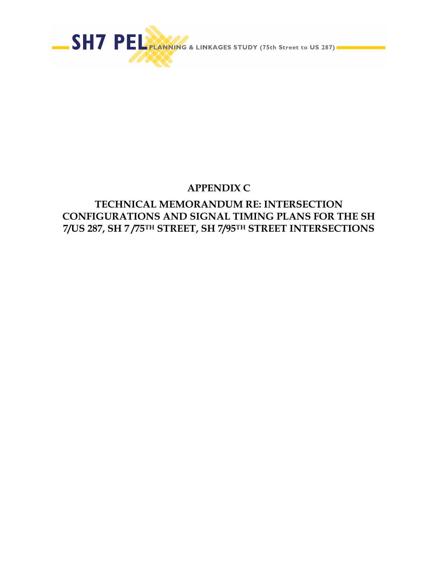

# **APPENDIX C**

# **TECHNICAL MEMORANDUM RE: INTERSECTION CONFIGURATIONS AND SIGNAL TIMING PLANS FOR THE SH 7/US 287, SH 7 /75TH STREET, SH 7/95TH STREET INTERSECTIONS**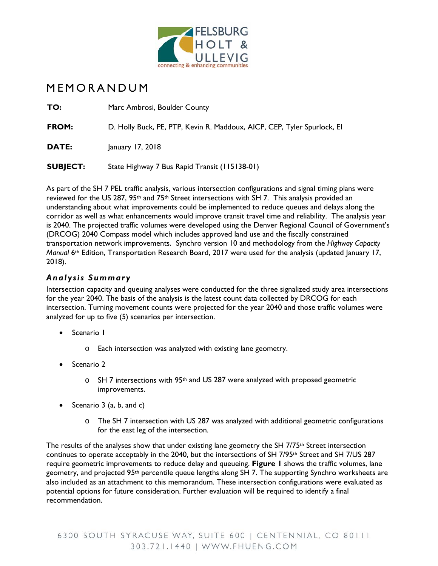

# MEMORANDUM

| TO:             | Marc Ambrosi, Boulder County                                            |
|-----------------|-------------------------------------------------------------------------|
| FROM:           | D. Holly Buck, PE, PTP, Kevin R. Maddoux, AICP, CEP, Tyler Spurlock, EI |
| <b>DATE:</b>    | January 17, 2018                                                        |
| <b>SUBJECT:</b> | State Highway 7 Bus Rapid Transit (115138-01)                           |

As part of the SH 7 PEL traffic analysis, various intersection configurations and signal timing plans were reviewed for the US 287, 95<sup>th</sup> and 75<sup>th</sup> Street intersections with SH 7. This analysis provided an understanding about what improvements could be implemented to reduce queues and delays along the corridor as well as what enhancements would improve transit travel time and reliability. The analysis year is 2040. The projected traffic volumes were developed using the Denver Regional Council of Government's (DRCOG) 2040 Compass model which includes approved land use and the fiscally constrained transportation network improvements. Synchro version 10 and methodology from the *Highway Capacity Manual* 6th Edition, Transportation Research Board, 2017 were used for the analysis (updated January 17, 2018).

### *Analysis Summary*

Intersection capacity and queuing analyses were conducted for the three signalized study area intersections for the year 2040. The basis of the analysis is the latest count data collected by DRCOG for each intersection. Turning movement counts were projected for the year 2040 and those traffic volumes were analyzed for up to five (5) scenarios per intersection.

- Scenario I
	- o Each intersection was analyzed with existing lane geometry.
- Scenario 2
	- $\circ$  SH 7 intersections with 95<sup>th</sup> and US 287 were analyzed with proposed geometric improvements.
- Scenario  $3$  (a, b, and c)
	- o The SH 7 intersection with US 287 was analyzed with additional geometric configurations for the east leg of the intersection.

The results of the analyses show that under existing lane geometry the SH  $7/75<sup>th</sup>$  Street intersection continues to operate acceptably in the 2040, but the intersections of SH 7/95<sup>th</sup> Street and SH 7/US 287 require geometric improvements to reduce delay and queueing. **Figure 1** shows the traffic volumes, lane geometry, and projected 95th percentile queue lengths along SH 7. The supporting Synchro worksheets are also included as an attachment to this memorandum. These intersection configurations were evaluated as potential options for future consideration. Further evaluation will be required to identify a final recommendation.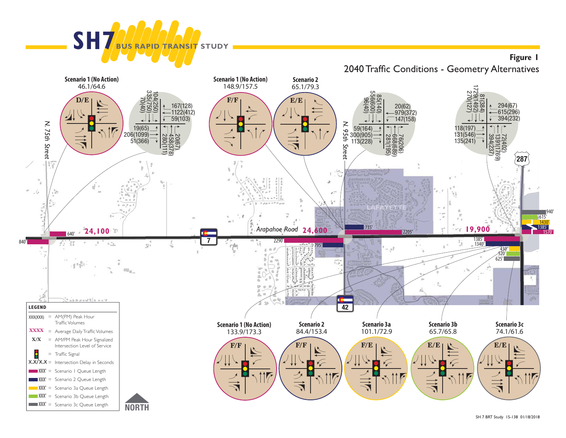

**Figure 1** 2040 Traffic Conditions - Geometry Alternatives

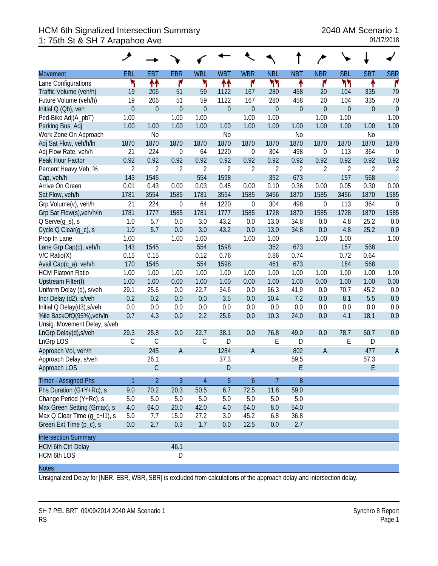## HCM 6th Signalized Intersection Summary 2040 AM Scenario 1 1: 75th St & SH 7 Arapahoe Ave 01/17/2018

|                              | مر               |                  |                  |                  |                |                  |                  |                  |                  |                  |                  |                |
|------------------------------|------------------|------------------|------------------|------------------|----------------|------------------|------------------|------------------|------------------|------------------|------------------|----------------|
| <b>Movement</b>              | EBL              | <b>EBT</b>       | <b>EBR</b>       | <b>WBL</b>       | <b>WBT</b>     | <b>WBR</b>       | <b>NBL</b>       | <b>NBT</b>       | <b>NBR</b>       | <b>SBL</b>       | <b>SBT</b>       | <b>SBR</b>     |
| Lane Configurations          | ۲                | ↟↟               | ۴                | ۲                | ↟↟             | ۴                | ካነ               | ٠                | ۴                | ካካ               | ↟                | ۴              |
| Traffic Volume (veh/h)       | 19               | 206              | 51               | 59               | 1122           | 167              | 280              | 458              | 20               | 104              | 335              | 70             |
| Future Volume (veh/h)        | 19               | 206              | 51               | 59               | 1122           | 167              | 280              | 458              | 20               | 104              | 335              | 70             |
| Initial Q (Qb), veh          | $\boldsymbol{0}$ | $\boldsymbol{0}$ | $\mathbf{0}$     | $\boldsymbol{0}$ | $\mathbf 0$    | $\boldsymbol{0}$ | $\boldsymbol{0}$ | $\boldsymbol{0}$ | $\overline{0}$   | $\boldsymbol{0}$ | $\boldsymbol{0}$ | $\overline{0}$ |
| Ped-Bike Adj(A_pbT)          | 1.00             |                  | 1.00             | 1.00             |                | 1.00             | 1.00             |                  | 1.00             | 1.00             |                  | 1.00           |
| Parking Bus, Adj             | 1.00             | 1.00             | 1.00             | 1.00             | 1.00           | 1.00             | 1.00             | 1.00             | 1.00             | 1.00             | 1.00             | 1.00           |
| Work Zone On Approach        |                  | N <sub>0</sub>   |                  |                  | N <sub>0</sub> |                  |                  | N <sub>o</sub>   |                  |                  | N <sub>0</sub>   |                |
| Adj Sat Flow, veh/h/ln       | 1870             | 1870             | 1870             | 1870             | 1870           | 1870             | 1870             | 1870             | 1870             | 1870             | 1870             | 1870           |
| Adj Flow Rate, veh/h         | 21               | 224              | $\boldsymbol{0}$ | 64               | 1220           | $\boldsymbol{0}$ | 304              | 498              | 0                | 113              | 364              | $\mathbf 0$    |
| Peak Hour Factor             | 0.92             | 0.92             | 0.92             | 0.92             | 0.92           | 0.92             | 0.92             | 0.92             | 0.92             | 0.92             | 0.92             | 0.92           |
| Percent Heavy Veh, %         | $\overline{2}$   | $\overline{2}$   | $\overline{2}$   | $\overline{2}$   | $\overline{2}$ | 2                | $\sqrt{2}$       | $\overline{2}$   | $\overline{2}$   | 2                | $\overline{2}$   | $\overline{2}$ |
| Cap, veh/h                   | 143              | 1545             |                  | 554              | 1598           |                  | 352              | 673              |                  | 157              | 568              |                |
| Arrive On Green              | 0.01             | 0.43             | 0.00             | 0.03             | 0.45           | 0.00             | 0.10             | 0.36             | 0.00             | 0.05             | 0.30             | 0.00           |
| Sat Flow, veh/h              | 1781             | 3554             | 1585             | 1781             | 3554           | 1585             | 3456             | 1870             | 1585             | 3456             | 1870             | 1585           |
| Grp Volume(v), veh/h         | 21               | 224              | $\mathbf 0$      | 64               | 1220           | $\boldsymbol{0}$ | 304              | 498              | $\boldsymbol{0}$ | 113              | 364              | $\mathbf 0$    |
| Grp Sat Flow(s), veh/h/ln    | 1781             | 1777             | 1585             | 1781             | 1777           | 1585             | 1728             | 1870             | 1585             | 1728             | 1870             | 1585           |
| $Q$ Serve $(g_s)$ , s        | 1.0              | 5.7              | 0.0              | 3.0              | 43.2           | 0.0              | 13.0             | 34.8             | 0.0              | 4.8              | 25.2             | 0.0            |
| Cycle Q Clear(g_c), s        | 1.0              | 5.7              | 0.0              | 3.0              | 43.2           | 0.0              | 13.0             | 34.8             | 0.0              | 4.8              | 25.2             | 0.0            |
| Prop In Lane                 | 1.00             |                  | 1.00             | 1.00             |                | 1.00             | 1.00             |                  | 1.00             | 1.00             |                  | 1.00           |
| Lane Grp Cap(c), veh/h       | 143              | 1545             |                  | 554              | 1598           |                  | 352              | 673              |                  | 157              | 568              |                |
| $V/C$ Ratio $(X)$            | 0.15             | 0.15             |                  | 0.12             | 0.76           |                  | 0.86             | 0.74             |                  | 0.72             | 0.64             |                |
| Avail Cap(c_a), veh/h        | 170              | 1545             |                  | 554              | 1598           |                  | 461              | 673              |                  | 184              | 568              |                |
| <b>HCM Platoon Ratio</b>     | 1.00             | 1.00             | 1.00             | 1.00             | 1.00           | 1.00             | 1.00             | 1.00             | 1.00             | 1.00             | 1.00             | 1.00           |
| <b>Upstream Filter(I)</b>    | 1.00             | 1.00             | 0.00             | 1.00             | 1.00           | 0.00             | 1.00             | 1.00             | 0.00             | 1.00             | 1.00             | 0.00           |
| Uniform Delay (d), s/veh     | 29.1             | 25.6             | 0.0              | 22.7             | 34.6           | 0.0              | 66.3             | 41.9             | 0.0              | 70.7             | 45.2             | 0.0            |
| Incr Delay (d2), s/veh       | 0.2              | 0.2              | 0.0              | 0.0              | 3.5            | 0.0              | 10.4             | 7.2              | 0.0              | 8.1              | 5.5              | 0.0            |
| Initial Q Delay(d3), s/veh   | 0.0              | 0.0              | 0.0              | 0.0              | 0.0            | 0.0              | 0.0              | 0.0              | 0.0              | 0.0              | 0.0              | 0.0            |
| %ile BackOfQ(95%), veh/ln    | 0.7              | 4.3              | 0.0              | 2.2              | 25.6           | 0.0              | 10.3             | 24.0             | 0.0              | 4.1              | 18.1             | 0.0            |
| Unsig. Movement Delay, s/veh |                  |                  |                  |                  |                |                  |                  |                  |                  |                  |                  |                |
| LnGrp Delay(d), s/veh        | 29.3             | 25.8             | 0.0              | 22.7             | 38.1           | 0.0              | 76.8             | 49.0             | 0.0              | 78.7             | 50.7             | 0.0            |
| LnGrp LOS                    | C                | C                |                  | $\mathsf C$      | D              |                  | E                | D                |                  | E                | D                |                |
| Approach Vol, veh/h          |                  | 245              | $\overline{A}$   |                  | 1284           | $\overline{A}$   |                  | 802              | $\overline{A}$   |                  | 477              | $\overline{A}$ |
| Approach Delay, s/veh        |                  | 26.1             |                  |                  | 37.3           |                  |                  | 59.5             |                  |                  | 57.3             |                |
| Approach LOS                 |                  | $\mathsf C$      |                  |                  | $\mathsf{D}$   |                  |                  | E                |                  |                  | E                |                |
| Timer - Assigned Phs         | $\mathbf{1}$     | $\overline{2}$   | 3                | $\overline{4}$   | 5              | $\mathfrak b$    | 7                | $8\,$            |                  |                  |                  |                |
| Phs Duration (G+Y+Rc), s     | 9.0              | 70.2             | 20.3             | 50.5             | 6.7            | 72.5             | 11.8             | 59.0             |                  |                  |                  |                |
| Change Period (Y+Rc), s      | 5.0              | 5.0              | $5.0\,$          | 5.0              | 5.0            | 5.0              | 5.0              | $5.0$            |                  |                  |                  |                |
| Max Green Setting (Gmax), s  | 4.0              | 64.0             | 20.0             | 42.0             | 4.0            | 64.0             | 8.0              | 54.0             |                  |                  |                  |                |
| Max Q Clear Time (g_c+l1), s | 5.0              | 7.7              | 15.0             | 27.2             | 3.0            | 45.2             | 6.8              | 36.8             |                  |                  |                  |                |
| Green Ext Time (p_c), s      | 0.0              | 2.7              | 0.3              | 1.7              | 0.0            | 12.5             | 0.0              | 2.7              |                  |                  |                  |                |
| <b>Intersection Summary</b>  |                  |                  |                  |                  |                |                  |                  |                  |                  |                  |                  |                |
| <b>HCM 6th Ctrl Delay</b>    |                  |                  | 46.1             |                  |                |                  |                  |                  |                  |                  |                  |                |
| HCM 6th LOS                  |                  |                  | D                |                  |                |                  |                  |                  |                  |                  |                  |                |

#### **Notes**

Unsignalized Delay for [NBR, EBR, WBR, SBR] is excluded from calculations of the approach delay and intersection delay.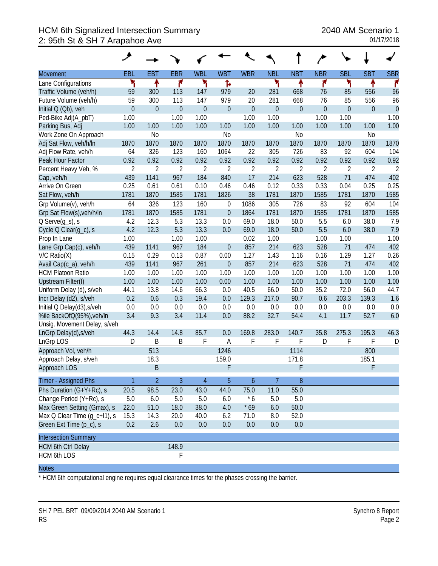## HCM 6th Signalized Intersection Summary 2040 AM Scenario 1 2: 95th St & SH 7 Arapahoe Ave 01/17/2018

|                              | ۶              |                  |                |                  |                  |                  |                  |                  |                |                |                |                |
|------------------------------|----------------|------------------|----------------|------------------|------------------|------------------|------------------|------------------|----------------|----------------|----------------|----------------|
| <b>Movement</b>              | EBL            | EBT              | <b>EBR</b>     | <b>WBL</b>       | <b>WBT</b>       | <b>WBR</b>       | <b>NBL</b>       | <b>NBT</b>       | <b>NBR</b>     | <b>SBL</b>     | <b>SBT</b>     | <b>SBR</b>     |
| Lane Configurations          | ۲              | ↟                | ۴              | ۳                | Ъ                |                  | ۲                | ٠                | ۴              | ۲              | ቶ              | ۴              |
| Traffic Volume (veh/h)       | 59             | 300              | 113            | 147              | 979              | 20               | 281              | 668              | 76             | 85             | 556            | 96             |
| Future Volume (veh/h)        | 59             | 300              | 113            | 147              | 979              | 20               | 281              | 668              | 76             | 85             | 556            | 96             |
| Initial Q (Qb), veh          | $\mathbf 0$    | $\boldsymbol{0}$ | $\overline{0}$ | $\boldsymbol{0}$ | $\mathbf{0}$     | $\boldsymbol{0}$ | $\boldsymbol{0}$ | $\boldsymbol{0}$ | $\mathbf{0}$   | $\overline{0}$ | $\mathbf 0$    | $\mathbf{0}$   |
| Ped-Bike Adj(A_pbT)          | 1.00           |                  | 1.00           | 1.00             |                  | 1.00             | 1.00             |                  | 1.00           | 1.00           |                | 1.00           |
| Parking Bus, Adj             | 1.00           | 1.00             | 1.00           | 1.00             | 1.00             | 1.00             | 1.00             | 1.00             | 1.00           | 1.00           | 1.00           | 1.00           |
| Work Zone On Approach        |                | N <sub>0</sub>   |                |                  | N <sub>o</sub>   |                  |                  | N <sub>0</sub>   |                |                | N <sub>0</sub> |                |
| Adj Sat Flow, veh/h/ln       | 1870           | 1870             | 1870           | 1870             | 1870             | 1870             | 1870             | 1870             | 1870           | 1870           | 1870           | 1870           |
| Adj Flow Rate, veh/h         | 64             | 326              | 123            | 160              | 1064             | 22               | 305              | 726              | 83             | 92             | 604            | 104            |
| Peak Hour Factor             | 0.92           | 0.92             | 0.92           | 0.92             | 0.92             | 0.92             | 0.92             | 0.92             | 0.92           | 0.92           | 0.92           | 0.92           |
| Percent Heavy Veh, %         | $\overline{2}$ | $\overline{2}$   | $\overline{2}$ | $\overline{2}$   | $\overline{2}$   | $\overline{2}$   | $\overline{2}$   | $\overline{2}$   | $\overline{2}$ | $\overline{2}$ | $\overline{2}$ | $\overline{2}$ |
| Cap, veh/h                   | 439            | 1141             | 967            | 184              | 840              | 17               | 214              | 623              | 528            | 71             | 474            | 402            |
| Arrive On Green              | 0.25           | 0.61             | 0.61           | 0.10             | 0.46             | 0.46             | 0.12             | 0.33             | 0.33           | 0.04           | 0.25           | 0.25           |
| Sat Flow, veh/h              | 1781           | 1870             | 1585           | 1781             | 1826             | 38               | 1781             | 1870             | 1585           | 1781           | 1870           | 1585           |
| Grp Volume(v), veh/h         | 64             | 326              | 123            | 160              | $\boldsymbol{0}$ | 1086             | 305              | 726              | 83             | 92             | 604            | 104            |
| Grp Sat Flow(s), veh/h/ln    | 1781           | 1870             | 1585           | 1781             | $\overline{0}$   | 1864             | 1781             | 1870             | 1585           | 1781           | 1870           | 1585           |
| $Q$ Serve $(g_s)$ , s        | 4.2            | 12.3             | 5.3            | 13.3             | 0.0              | 69.0             | 18.0             | 50.0             | 5.5            | 6.0            | 38.0           | 7.9            |
| Cycle Q Clear(q_c), s        | 4.2            | 12.3             | 5.3            | 13.3             | 0.0              | 69.0             | 18.0             | 50.0             | 5.5            | 6.0            | 38.0           | 7.9            |
| Prop In Lane                 | 1.00           |                  | 1.00           | 1.00             |                  | 0.02             | 1.00             |                  | 1.00           | 1.00           |                | 1.00           |
| Lane Grp Cap(c), veh/h       | 439            | 1141             | 967            | 184              | $\mathbf{0}$     | 857              | 214              | 623              | 528            | 71             | 474            | 402            |
| $V/C$ Ratio $(X)$            | 0.15           | 0.29             | 0.13           | 0.87             | 0.00             | 1.27             | 1.43             | 1.16             | 0.16           | 1.29           | 1.27           | 0.26           |
| Avail Cap(c_a), veh/h        | 439            | 1141             | 967            | 261              | $\boldsymbol{0}$ | 857              | 214              | 623              | 528            | 71             | 474            | 402            |
| <b>HCM Platoon Ratio</b>     | 1.00           | 1.00             | 1.00           | 1.00             | 1.00             | 1.00             | 1.00             | 1.00             | 1.00           | 1.00           | 1.00           | 1.00           |
| Upstream Filter(I)           | 1.00           | 1.00             | 1.00           | 1.00             | 0.00             | 1.00             | 1.00             | 1.00             | 1.00           | 1.00           | 1.00           | 1.00           |
| Uniform Delay (d), s/veh     | 44.1           | 13.8             | 14.6           | 66.3             | 0.0              | 40.5             | 66.0             | 50.0             | 35.2           | 72.0           | 56.0           | 44.7           |
| Incr Delay (d2), s/veh       | 0.2            | 0.6              | 0.3            | 19.4             | 0.0              | 129.3            | 217.0            | 90.7             | 0.6            | 203.3          | 139.3          | 1.6            |
| Initial Q Delay(d3), s/veh   | $0.0\,$        | 0.0              | $0.0\,$        | 0.0              | 0.0              | 0.0              | 0.0              | 0.0              | 0.0            | 0.0            | 0.0            | 0.0            |
| %ile BackOfQ(95%), veh/In    | 3.4            | 9.3              | 3.4            | 11.4             | 0.0              | 88.2             | 32.7             | 54.4             | 4.1            | 11.7           | 52.7           | 6.0            |
| Unsig. Movement Delay, s/veh |                |                  |                |                  |                  |                  |                  |                  |                |                |                |                |
| LnGrp Delay(d), s/veh        | 44.3           | 14.4             | 14.8           | 85.7             | 0.0              | 169.8            | 283.0            | 140.7            | 35.8           | 275.3          | 195.3          | 46.3           |
| LnGrp LOS                    | D              | B                | B              | F                | Α                | F                | F                | F                | D              | F              | F              | D              |
| Approach Vol, veh/h          |                | 513              |                |                  | 1246             |                  |                  | 1114             |                |                | 800            |                |
| Approach Delay, s/veh        |                | 18.3             |                |                  | 159.0            |                  |                  | 171.8            |                |                | 185.1          |                |
| Approach LOS                 |                | B                |                |                  | F                |                  |                  | F                |                |                | F              |                |
| Timer - Assigned Phs         |                | $\overline{2}$   | 3              | 4                | 5                | 6                | 7                | $8\phantom{1}$   |                |                |                |                |
| Phs Duration (G+Y+Rc), s     | 20.5           | 98.5             | 23.0           | 43.0             | 44.0             | 75.0             | 11.0             | 55.0             |                |                |                |                |
| Change Period (Y+Rc), s      | 5.0            | 6.0              | 5.0            | 5.0              | 6.0              | $*6$             | 5.0              | 5.0              |                |                |                |                |
| Max Green Setting (Gmax), s  | 22.0           | 51.0             | 18.0           | 38.0             | 4.0              | $*69$            | 6.0              | 50.0             |                |                |                |                |
| Max Q Clear Time (g_c+l1), s | 15.3           | 14.3             | 20.0           | 40.0             | 6.2              | 71.0             | 8.0              | 52.0             |                |                |                |                |
| Green Ext Time (p_c), s      | 0.2            | 2.6              | 0.0            | 0.0              | 0.0              | 0.0              | 0.0              | 0.0              |                |                |                |                |
| <b>Intersection Summary</b>  |                |                  |                |                  |                  |                  |                  |                  |                |                |                |                |
| <b>HCM 6th Ctrl Delay</b>    |                |                  | 148.9          |                  |                  |                  |                  |                  |                |                |                |                |
| <b>HCM 6th LOS</b>           |                |                  | F              |                  |                  |                  |                  |                  |                |                |                |                |

#### **Notes**

\* HCM 6th computational engine requires equal clearance times for the phases crossing the barrier.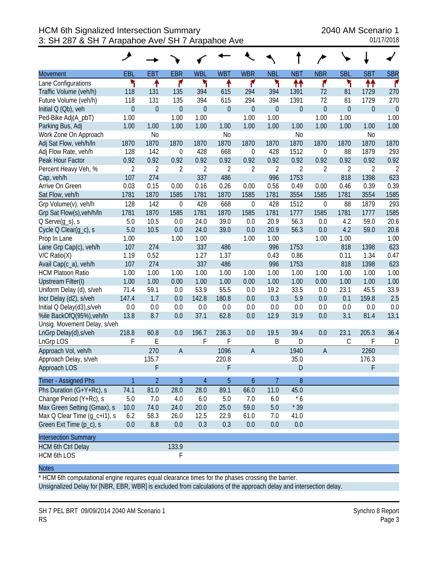|                              | مر               |                |                  |                |                  |                  |                  |                |                  |             |                  |                |
|------------------------------|------------------|----------------|------------------|----------------|------------------|------------------|------------------|----------------|------------------|-------------|------------------|----------------|
| <b>Movement</b>              | EBL              | <b>EBT</b>     | <b>EBR</b>       | <b>WBL</b>     | <b>WBT</b>       | <b>WBR</b>       | <b>NBL</b>       | <b>NBT</b>     | <b>NBR</b>       | <b>SBL</b>  | <b>SBT</b>       | <b>SBR</b>     |
| Lane Configurations          | ۲                | ቶ              | ۴                | ۲              | ۰                | ۴                | ۲                | ↟↟             | ۴                | ۲           | ↟↟               | r              |
| Traffic Volume (veh/h)       | 118              | 131            | 135              | 394            | 615              | 294              | 394              | 1391           | 72               | 81          | 1729             | 270            |
| Future Volume (veh/h)        | 118              | 131            | 135              | 394            | 615              | 294              | 394              | 1391           | 72               | 81          | 1729             | 270            |
| Initial Q (Qb), veh          | $\boldsymbol{0}$ | $\mathbf 0$    | $\overline{0}$   | $\overline{0}$ | $\boldsymbol{0}$ | $\mathbf 0$      | $\boldsymbol{0}$ | $\mathbf 0$    | $\boldsymbol{0}$ | $\mathbf 0$ | $\boldsymbol{0}$ | $\mathbf{0}$   |
| Ped-Bike Adj(A_pbT)          | 1.00             |                | 1.00             | 1.00           |                  | 1.00             | 1.00             |                | 1.00             | 1.00        |                  | 1.00           |
| Parking Bus, Adj             | 1.00             | 1.00           | 1.00             | 1.00           | 1.00             | 1.00             | 1.00             | 1.00           | 1.00             | 1.00        | 1.00             | 1.00           |
| Work Zone On Approach        |                  | N <sub>o</sub> |                  |                | N <sub>o</sub>   |                  |                  | N <sub>0</sub> |                  |             | N <sub>0</sub>   |                |
| Adj Sat Flow, veh/h/ln       | 1870             | 1870           | 1870             | 1870           | 1870             | 1870             | 1870             | 1870           | 1870             | 1870        | 1870             | 1870           |
| Adj Flow Rate, veh/h         | 128              | 142            | $\boldsymbol{0}$ | 428            | 668              | $\mathbf 0$      | 428              | 1512           | $\boldsymbol{0}$ | 88          | 1879             | 293            |
| Peak Hour Factor             | 0.92             | 0.92           | 0.92             | 0.92           | 0.92             | 0.92             | 0.92             | 0.92           | 0.92             | 0.92        | 0.92             | 0.92           |
| Percent Heavy Veh, %         | $\overline{2}$   | $\overline{2}$ | $\overline{2}$   | $\overline{2}$ | $\overline{2}$   | $\overline{2}$   | $\overline{2}$   | 2              | $\overline{2}$   | 2           | 2                | $\overline{2}$ |
| Cap, veh/h                   | 107              | 274            |                  | 337            | 486              |                  | 996              | 1753           |                  | 818         | 1398             | 623            |
| Arrive On Green              | 0.03             | 0.15           | 0.00             | 0.16           | 0.26             | 0.00             | 0.56             | 0.49           | 0.00             | 0.46        | 0.39             | 0.39           |
| Sat Flow, veh/h              | 1781             | 1870           | 1585             | 1781           | 1870             | 1585             | 1781             | 3554           | 1585             | 1781        | 3554             | 1585           |
| Grp Volume(v), veh/h         | 128              | 142            | $\mathbf 0$      | 428            | 668              | $\boldsymbol{0}$ | 428              | 1512           | $\mathbf 0$      | 88          | 1879             | 293            |
| Grp Sat Flow(s), veh/h/ln    | 1781             | 1870           | 1585             | 1781           | 1870             | 1585             | 1781             | 1777           | 1585             | 1781        | 1777             | 1585           |
| $Q$ Serve $(g_s)$ , s        | 5.0              | 10.5           | 0.0              | 24.0           | 39.0             | 0.0              | 20.9             | 56.3           | 0.0              | 4.2         | 59.0             | 20.6           |
| Cycle Q Clear(g_c), s        | 5.0              | 10.5           | 0.0              | 24.0           | 39.0             | 0.0              | 20.9             | 56.3           | 0.0              | 4.2         | 59.0             | 20.6           |
| Prop In Lane                 | 1.00             |                | 1.00             | 1.00           |                  | 1.00             | 1.00             |                | 1.00             | 1.00        |                  | 1.00           |
| Lane Grp Cap(c), veh/h       | 107              | 274            |                  | 337            | 486              |                  | 996              | 1753           |                  | 818         | 1398             | 623            |
| $V/C$ Ratio $(X)$            | 1.19             | 0.52           |                  | 1.27           | 1.37             |                  | 0.43             | 0.86           |                  | 0.11        | 1.34             | 0.47           |
| Avail Cap(c_a), veh/h        | 107              | 274            |                  | 337            | 486              |                  | 996              | 1753           |                  | 818         | 1398             | 623            |
| <b>HCM Platoon Ratio</b>     | 1.00             | 1.00           | 1.00             | 1.00           | 1.00             | 1.00             | 1.00             | 1.00           | 1.00             | 1.00        | 1.00             | 1.00           |
| Upstream Filter(I)           | 1.00             | 1.00           | 0.00             | 1.00           | 1.00             | 0.00             | 1.00             | 1.00           | 0.00             | 1.00        | 1.00             | 1.00           |
| Uniform Delay (d), s/veh     | 71.4             | 59.1           | 0.0              | 53.9           | 55.5             | 0.0              | 19.2             | 33.5           | 0.0              | 23.1        | 45.5             | 33.9           |
| Incr Delay (d2), s/veh       | 147.4            | 1.7            | 0.0              | 142.8          | 180.8            | 0.0              | 0.3              | 5.9            | 0.0              | 0.1         | 159.8            | 2.5            |
| Initial Q Delay(d3), s/veh   | 0.0              | 0.0            | 0.0              | 0.0            | 0.0              | 0.0              | 0.0              | 0.0            | 0.0              | 0.0         | 0.0              | 0.0            |
| %ile BackOfQ(95%), veh/ln    | 13.8             | 8.7            | 0.0              | 37.1           | 62.8             | 0.0              | 12.9             | 31.9           | 0.0              | 3.1         | 81.4             | 13.1           |
| Unsig. Movement Delay, s/veh |                  |                |                  |                |                  |                  |                  |                |                  |             |                  |                |
| LnGrp Delay(d), s/veh        | 218.8            | 60.8           | 0.0              | 196.7          | 236.3            | 0.0              | 19.5             | 39.4           | 0.0              | 23.1        | 205.3            | 36.4           |
| LnGrp LOS                    | F                | E              |                  | F              | F                |                  | B                | D              |                  | С           | F                | D              |
| Approach Vol, veh/h          |                  | 270            | $\overline{A}$   |                | 1096             | $\overline{A}$   |                  | 1940           | A                |             | 2260             |                |
| Approach Delay, s/veh        |                  | 135.7          |                  |                | 220.8            |                  |                  | 35.0           |                  |             | 176.3            |                |
| Approach LOS                 |                  | F              |                  |                | F                |                  |                  | D              |                  |             | F                |                |
| Timer - Assigned Phs         | 1                | $\overline{2}$ | $\overline{3}$   | $\overline{4}$ | 5                | $\boldsymbol{6}$ | 7                | 8              |                  |             |                  |                |
| Phs Duration (G+Y+Rc), s     | 74.1             | 81.0           | 28.0             | 28.0           | 89.1             | 66.0             | 11.0             | 45.0           |                  |             |                  |                |
| Change Period (Y+Rc), s      | 5.0              | 7.0            | 4.0              | 6.0            | 5.0              | 7.0              | 6.0              | $*6$           |                  |             |                  |                |
| Max Green Setting (Gmax), s  | 10.0             | 74.0           | 24.0             | 20.0           | 25.0             | 59.0             | 5.0              | $*39$          |                  |             |                  |                |
| Max Q Clear Time (g_c+l1), s | 6.2              | 58.3           | 26.0             | 12.5           | 22.9             | 61.0             | 7.0              | 41.0           |                  |             |                  |                |
| Green Ext Time (p_c), s      | 0.0              | 8.8            | 0.0              | 0.3            | 0.3              | 0.0              | 0.0              | 0.0            |                  |             |                  |                |
| <b>Intersection Summary</b>  |                  |                |                  |                |                  |                  |                  |                |                  |             |                  |                |
| <b>HCM 6th Ctrl Delay</b>    |                  |                | 133.9            |                |                  |                  |                  |                |                  |             |                  |                |
| HCM 6th LOS                  |                  |                | F                |                |                  |                  |                  |                |                  |             |                  |                |

\* HCM 6th computational engine requires equal clearance times for the phases crossing the barrier. Unsignalized Delay for [NBR, EBR, WBR] is excluded from calculations of the approach delay and intersection delay.

SH 7 PEL BRT 09/09/2014 2040 AM Scenario 1 Synchro 8 Report RS Page 3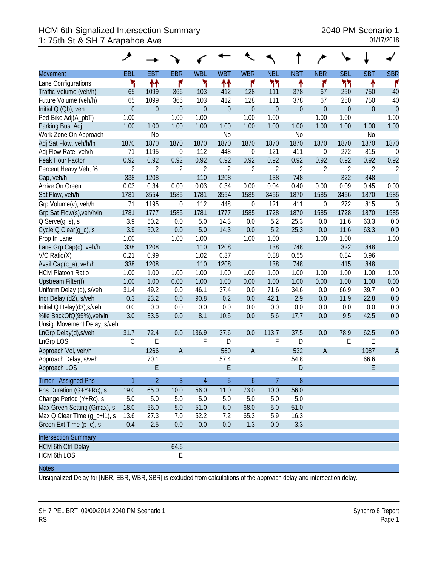## HCM 6th Signalized Intersection Summary 2040 PM Scenario 1 1: 75th St & SH 7 Arapahoe Ave 01/17/2018

|                              | ◢              |                  |                  |                |                  |                  |                  |                |                  |             |                |                |
|------------------------------|----------------|------------------|------------------|----------------|------------------|------------------|------------------|----------------|------------------|-------------|----------------|----------------|
| Movement                     | EBL            | EB <sub>1</sub>  | <b>EBR</b>       | <b>WBL</b>     | <b>WBT</b>       | <b>WBR</b>       | <b>NBL</b>       | <b>NBT</b>     | <b>NBR</b>       | <b>SBL</b>  | <b>SBT</b>     | <b>SBR</b>     |
| Lane Configurations          | ۲              | ↟↟               | ۴                | ۲              | ↟↟               | ۴                | ካካ               | ۸              | ۴                | ካነ          | ↟              | ۴              |
| Traffic Volume (veh/h)       | 65             | 1099             | 366              | 103            | 412              | 128              | 111              | 378            | 67               | 250         | 750            | 40             |
| Future Volume (veh/h)        | 65             | 1099             | 366              | 103            | 412              | 128              | 111              | 378            | 67               | 250         | 750            | 40             |
| Initial Q (Qb), veh          | $\overline{0}$ | $\boldsymbol{0}$ | $\overline{0}$   | $\theta$       | $\boldsymbol{0}$ | $\boldsymbol{0}$ | $\boldsymbol{0}$ | $\theta$       | $\overline{0}$   | $\mathbf 0$ | $\overline{0}$ | $\mathbf{0}$   |
| Ped-Bike Adj(A_pbT)          | 1.00           |                  | 1.00             | 1.00           |                  | 1.00             | 1.00             |                | 1.00             | 1.00        |                | 1.00           |
| Parking Bus, Adj             | 1.00           | 1.00             | 1.00             | 1.00           | 1.00             | 1.00             | 1.00             | 1.00           | 1.00             | 1.00        | 1.00           | 1.00           |
| Work Zone On Approach        |                | N <sub>0</sub>   |                  |                | N <sub>0</sub>   |                  |                  | N <sub>o</sub> |                  |             | N <sub>0</sub> |                |
| Adj Sat Flow, veh/h/ln       | 1870           | 1870             | 1870             | 1870           | 1870             | 1870             | 1870             | 1870           | 1870             | 1870        | 1870           | 1870           |
| Adj Flow Rate, veh/h         | 71             | 1195             | $\boldsymbol{0}$ | 112            | 448              | 0                | 121              | 411            | 0                | 272         | 815            | $\overline{0}$ |
| Peak Hour Factor             | 0.92           | 0.92             | 0.92             | 0.92           | 0.92             | 0.92             | 0.92             | 0.92           | 0.92             | 0.92        | 0.92           | 0.92           |
| Percent Heavy Veh, %         | $\overline{2}$ | $\overline{2}$   | $\sqrt{2}$       | $\overline{2}$ | $\overline{2}$   | $\overline{2}$   | $\overline{2}$   | $\overline{2}$ | $\overline{2}$   | 2           | $\overline{2}$ | $\overline{2}$ |
| Cap, veh/h                   | 338            | 1208             |                  | 110            | 1208             |                  | 138              | 748            |                  | 322         | 848            |                |
| Arrive On Green              | 0.03           | 0.34             | 0.00             | 0.03           | 0.34             | 0.00             | 0.04             | 0.40           | 0.00             | 0.09        | 0.45           | 0.00           |
| Sat Flow, veh/h              | 1781           | 3554             | 1585             | 1781           | 3554             | 1585             | 3456             | 1870           | 1585             | 3456        | 1870           | 1585           |
| Grp Volume(v), veh/h         | 71             | 1195             | $\mathbf 0$      | 112            | 448              | $\boldsymbol{0}$ | 121              | 411            | $\boldsymbol{0}$ | 272         | 815            | $\mathbf 0$    |
| Grp Sat Flow(s), veh/h/ln    | 1781           | 1777             | 1585             | 1781           | 1777             | 1585             | 1728             | 1870           | 1585             | 1728        | 1870           | 1585           |
| $Q$ Serve $(g_s)$ , s        | 3.9            | 50.2             | 0.0              | 5.0            | 14.3             | 0.0              | 5.2              | 25.3           | 0.0              | 11.6        | 63.3           | 0.0            |
| Cycle Q Clear(g_c), s        | 3.9            | 50.2             | 0.0              | 5.0            | 14.3             | 0.0              | 5.2              | 25.3           | 0.0              | 11.6        | 63.3           | 0.0            |
| Prop In Lane                 | 1.00           |                  | 1.00             | 1.00           |                  | 1.00             | 1.00             |                | 1.00             | 1.00        |                | 1.00           |
| Lane Grp Cap(c), veh/h       | 338            | 1208             |                  | 110            | 1208             |                  | 138              | 748            |                  | 322         | 848            |                |
| $V/C$ Ratio $(X)$            | 0.21           | 0.99             |                  | 1.02           | 0.37             |                  | 0.88             | 0.55           |                  | 0.84        | 0.96           |                |
| Avail Cap(c_a), veh/h        | 338            | 1208             |                  | 110            | 1208             |                  | 138              | 748            |                  | 415         | 848            |                |
| <b>HCM Platoon Ratio</b>     | 1.00           | 1.00             | 1.00             | 1.00           | 1.00             | 1.00             | 1.00             | 1.00           | 1.00             | 1.00        | 1.00           | 1.00           |
| Upstream Filter(I)           | 1.00           | 1.00             | 0.00             | 1.00           | 1.00             | 0.00             | 1.00             | 1.00           | 0.00             | 1.00        | 1.00           | 0.00           |
| Uniform Delay (d), s/veh     | 31.4           | 49.2             | 0.0              | 46.1           | 37.4             | 0.0              | 71.6             | 34.6           | 0.0              | 66.9        | 39.7           | 0.0            |
| Incr Delay (d2), s/veh       | 0.3            | 23.2             | 0.0              | 90.8           | 0.2              | 0.0              | 42.1             | 2.9            | 0.0              | 11.9        | 22.8           | 0.0            |
| Initial Q Delay(d3), s/veh   | 0.0            | 0.0              | 0.0              | 0.0            | 0.0              | 0.0              | 0.0              | 0.0            | 0.0              | 0.0         | 0.0            | 0.0            |
| %ile BackOfQ(95%), veh/In    | 3.0            | 33.5             | 0.0              | 8.1            | 10.5             | 0.0              | 5.6              | 17.7           | 0.0              | 9.5         | 42.5           | 0.0            |
| Unsig. Movement Delay, s/veh |                |                  |                  |                |                  |                  |                  |                |                  |             |                |                |
| LnGrp Delay(d), s/veh        | 31.7           | 72.4             | 0.0              | 136.9          | 37.6             | 0.0              | 113.7            | 37.5           | 0.0              | 78.9        | 62.5           | 0.0            |
| LnGrp LOS                    | $\mathcal{C}$  | E                |                  | F              | D                |                  | F                | D              |                  | Ε           | E              |                |
| Approach Vol, veh/h          |                | 1266             | $\overline{A}$   |                | 560              | $\overline{A}$   |                  | 532            | $\overline{A}$   |             | 1087           | $\overline{A}$ |
| Approach Delay, s/veh        |                | 70.1             |                  |                | 57.4             |                  |                  | 54.8           |                  |             | 66.6           |                |
| Approach LOS                 |                | E                |                  |                | E                |                  |                  | D              |                  |             | E              |                |
| Timer - Assigned Phs         | $\mathbf{1}$   | $\overline{2}$   | 3                | $\overline{4}$ | 5                | 6                | 7                | 8              |                  |             |                |                |
| Phs Duration (G+Y+Rc), s     | 19.0           | 65.0             | 10.0             | 56.0           | 11.0             | 73.0             | 10.0             | 56.0           |                  |             |                |                |
| Change Period (Y+Rc), s      | 5.0            | 5.0              | 5.0              | 5.0            | 5.0              | 5.0              | 5.0              | 5.0            |                  |             |                |                |
| Max Green Setting (Gmax), s  | 18.0           | 56.0             | 5.0              | 51.0           | 6.0              | 68.0             | 5.0              | 51.0           |                  |             |                |                |
| Max Q Clear Time (g_c+l1), s | 13.6           | 27.3             | 7.0              | 52.2           | 7.2              | 65.3             | 5.9              | 16.3           |                  |             |                |                |
| Green Ext Time (p_c), s      | 0.4            | 2.5              | 0.0              | 0.0            | 0.0              | 1.3              | 0.0              | 3.3            |                  |             |                |                |
| <b>Intersection Summary</b>  |                |                  |                  |                |                  |                  |                  |                |                  |             |                |                |
| <b>HCM 6th Ctrl Delay</b>    |                |                  | 64.6             |                |                  |                  |                  |                |                  |             |                |                |
| <b>HCM 6th LOS</b>           |                |                  | E                |                |                  |                  |                  |                |                  |             |                |                |

#### **Notes**

Unsignalized Delay for [NBR, EBR, WBR, SBR] is excluded from calculations of the approach delay and intersection delay.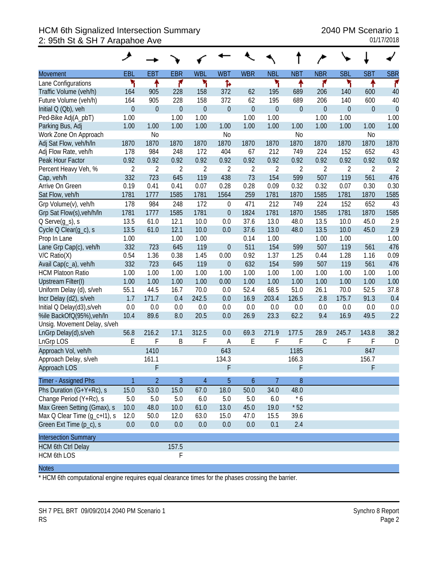## HCM 6th Signalized Intersection Summary 2040 PM Scenario 1 2: 95th St & SH 7 Arapahoe Ave 01/17/2018

| <b>Movement</b>              | EBL              | <b>EBT</b>       | <b>EBR</b>       | <b>WBL</b>     | <b>WBT</b>       | <b>WBR</b>       | <b>NBL</b>       | <b>NBT</b>       | <b>NBR</b>       | <b>SBL</b>       | <b>SBT</b>     | <b>SBR</b>     |
|------------------------------|------------------|------------------|------------------|----------------|------------------|------------------|------------------|------------------|------------------|------------------|----------------|----------------|
| Lane Configurations          | ۳                | ቶ                | ۴                | ۳              | Ъ                |                  | ۲                | ٠                | ۴                | ۲                | ↟              | ۴              |
| Traffic Volume (veh/h)       | 164              | 905              | 228              | 158            | 372              | 62               | 195              | 689              | 206              | 140              | 600            | 40             |
| Future Volume (veh/h)        | 164              | 905              | 228              | 158            | 372              | 62               | 195              | 689              | 206              | 140              | 600            | 40             |
| Initial Q (Qb), veh          | $\boldsymbol{0}$ | $\boldsymbol{0}$ | $\boldsymbol{0}$ | $\theta$       | $\mathbf{0}$     | $\boldsymbol{0}$ | $\boldsymbol{0}$ | $\boldsymbol{0}$ | $\boldsymbol{0}$ | $\boldsymbol{0}$ | $\mathbf 0$    | $\theta$       |
| Ped-Bike Adj(A_pbT)          | 1.00             |                  | 1.00             | 1.00           |                  | 1.00             | 1.00             |                  | 1.00             | 1.00             |                | 1.00           |
| Parking Bus, Adj             | 1.00             | 1.00             | 1.00             | 1.00           | 1.00             | 1.00             | 1.00             | 1.00             | 1.00             | 1.00             | 1.00           | 1.00           |
| Work Zone On Approach        |                  | N <sub>0</sub>   |                  |                | N <sub>0</sub>   |                  |                  | N <sub>0</sub>   |                  |                  | N <sub>0</sub> |                |
| Adj Sat Flow, veh/h/ln       | 1870             | 1870             | 1870             | 1870           | 1870             | 1870             | 1870             | 1870             | 1870             | 1870             | 1870           | 1870           |
| Adj Flow Rate, veh/h         | 178              | 984              | 248              | 172            | 404              | 67               | 212              | 749              | 224              | 152              | 652            | 43             |
| Peak Hour Factor             | 0.92             | 0.92             | 0.92             | 0.92           | 0.92             | 0.92             | 0.92             | 0.92             | 0.92             | 0.92             | 0.92           | 0.92           |
| Percent Heavy Veh, %         | $\overline{2}$   | $\overline{2}$   | $\overline{2}$   | $\overline{2}$ | $\overline{2}$   | $\overline{2}$   | $\overline{2}$   | $\overline{2}$   | $\overline{2}$   | $\overline{2}$   | $\overline{2}$ | $\overline{2}$ |
| Cap, veh/h                   | 332              | 723              | 645              | 119            | 438              | 73               | 154              | 599              | 507              | 119              | 561            | 476            |
| Arrive On Green              | 0.19             | 0.41             | 0.41             | 0.07           | 0.28             | 0.28             | 0.09             | 0.32             | 0.32             | 0.07             | 0.30           | 0.30           |
| Sat Flow, veh/h              | 1781             | 1777             | 1585             | 1781           | 1564             | 259              | 1781             | 1870             | 1585             | 1781             | 1870           | 1585           |
| Grp Volume(v), veh/h         | 178              | 984              | 248              | 172            | $\boldsymbol{0}$ | 471              | 212              | 749              | 224              | 152              | 652            | 43             |
| Grp Sat Flow(s), veh/h/ln    | 1781             | 1777             | 1585             | 1781           | $\overline{0}$   | 1824             | 1781             | 1870             | 1585             | 1781             | 1870           | 1585           |
| $Q$ Serve $(g_s)$ , s        | 13.5             | 61.0             | 12.1             | 10.0           | 0.0              | 37.6             | 13.0             | 48.0             | 13.5             | 10.0             | 45.0           | 2.9            |
| Cycle Q Clear(g_c), s        | 13.5             | 61.0             | 12.1             | 10.0           | 0.0              | 37.6             | 13.0             | 48.0             | 13.5             | 10.0             | 45.0           | 2.9            |
| Prop In Lane                 | 1.00             |                  | 1.00             | 1.00           |                  | 0.14             | 1.00             |                  | 1.00             | 1.00             |                | 1.00           |
| Lane Grp Cap(c), veh/h       | 332              | 723              | 645              | 119            | $\mathbf{0}$     | 511              | 154              | 599              | 507              | 119              | 561            | 476            |
| $V/C$ Ratio $(X)$            | 0.54             | 1.36             | 0.38             | 1.45           | 0.00             | 0.92             | 1.37             | 1.25             | 0.44             | 1.28             | 1.16           | 0.09           |
| Avail Cap(c_a), veh/h        | 332              | 723              | 645              | 119            | $\boldsymbol{0}$ | 632              | 154              | 599              | 507              | 119              | 561            | 476            |
| <b>HCM Platoon Ratio</b>     | 1.00             | 1.00             | 1.00             | 1.00           | 1.00             | 1.00             | 1.00             | 1.00             | 1.00             | 1.00             | 1.00           | 1.00           |
| Upstream Filter(I)           | 1.00             | 1.00             | 1.00             | 1.00           | 0.00             | 1.00             | 1.00             | 1.00             | 1.00             | 1.00             | 1.00           | 1.00           |
| Uniform Delay (d), s/veh     | 55.1             | 44.5             | 16.7             | 70.0           | 0.0              | 52.4             | 68.5             | 51.0             | 26.1             | 70.0             | 52.5           | 37.8           |
| Incr Delay (d2), s/veh       | 1.7              | 171.7            | 0.4              | 242.5          | 0.0              | 16.9             | 203.4            | 126.5            | 2.8              | 175.7            | 91.3           | 0.4            |
| Initial Q Delay(d3), s/veh   | 0.0              | 0.0              | $0.0\,$          | 0.0            | 0.0              | 0.0              | 0.0              | 0.0              | 0.0              | 0.0              | 0.0            | 0.0            |
| %ile BackOfQ(95%), veh/In    | 10.4             | 89.6             | 8.0              | 20.5           | 0.0              | 26.9             | 23.3             | 62.2             | 9.4              | 16.9             | 49.5           | 2.2            |
| Unsig. Movement Delay, s/veh |                  |                  |                  |                |                  |                  |                  |                  |                  |                  |                |                |
| LnGrp Delay(d), s/veh        | 56.8             | 216.2            | 17.1             | 312.5          | 0.0              | 69.3             | 271.9            | 177.5            | 28.9             | 245.7            | 143.8          | 38.2           |
| LnGrp LOS                    | E                | F                | B                | F              | A                | E                | F                | F                | C                | F                | F              | D              |
| Approach Vol, veh/h          |                  | 1410             |                  |                | 643              |                  |                  | 1185             |                  |                  | 847            |                |
| Approach Delay, s/veh        |                  | 161.1            |                  |                | 134.3            |                  |                  | 166.3            |                  |                  | 156.7          |                |
| Approach LOS                 |                  | F                |                  |                | F                |                  |                  | F                |                  |                  | F              |                |
| Timer - Assigned Phs         |                  | $\overline{2}$   | 3                | 4              | 5                | 6                | 7                | 8                |                  |                  |                |                |
| Phs Duration (G+Y+Rc), s     | 15.0             | 53.0             | 15.0             | 67.0           | 18.0             | 50.0             | 34.0             | 48.0             |                  |                  |                |                |
| Change Period (Y+Rc), s      | $5.0\,$          | 5.0              | 5.0              | 6.0            | 5.0              | 5.0              | 6.0              | $*6$             |                  |                  |                |                |
| Max Green Setting (Gmax), s  | 10.0             | 48.0             | 10.0             | 61.0           | 13.0             | 45.0             | 19.0             | $*52$            |                  |                  |                |                |
| Max Q Clear Time (g_c+l1), s | 12.0             | 50.0             | 12.0             | 63.0           | 15.0             | 47.0             | 15.5             | 39.6             |                  |                  |                |                |
| Green Ext Time (p_c), s      | 0.0              | 0.0              | 0.0              | 0.0            | 0.0              | 0.0              | 0.1              | 2.4              |                  |                  |                |                |
| <b>Intersection Summary</b>  |                  |                  |                  |                |                  |                  |                  |                  |                  |                  |                |                |
| <b>HCM 6th Ctrl Delay</b>    |                  |                  | 157.5            |                |                  |                  |                  |                  |                  |                  |                |                |
| <b>HCM 6th LOS</b>           |                  |                  | F                |                |                  |                  |                  |                  |                  |                  |                |                |

#### **Notes**

\* HCM 6th computational engine requires equal clearance times for the phases crossing the barrier.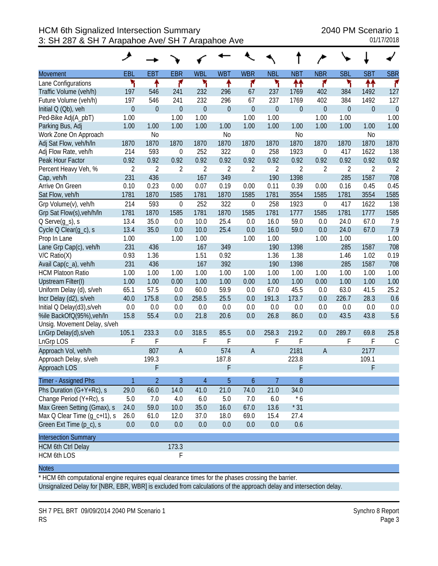|                              | مر             |                  |                  |                  |                |                  |                  |                  |                  |                  |                |                |
|------------------------------|----------------|------------------|------------------|------------------|----------------|------------------|------------------|------------------|------------------|------------------|----------------|----------------|
| <b>Movement</b>              | <b>EBL</b>     | EBT              | <b>EBR</b>       | <b>WBL</b>       | <b>WBT</b>     | <b>WBR</b>       | <b>NBL</b>       | <b>NBT</b>       | <b>NBR</b>       | <b>SBL</b>       | <b>SBT</b>     | <b>SBR</b>     |
| Lane Configurations          | ۲              | ↟                | ۴                | ۲                | ↟              | ۴                | ۲                | ↟↟               | ۴                | ۲                | ₩              | r              |
| Traffic Volume (veh/h)       | 197            | 546              | 241              | 232              | 296            | 67               | 237              | 1769             | 402              | 384              | 1492           | 127            |
| Future Volume (veh/h)        | 197            | 546              | 241              | 232              | 296            | 67               | 237              | 1769             | 402              | 384              | 1492           | 127            |
| Initial Q (Qb), veh          | $\mathbf 0$    | $\boldsymbol{0}$ | $\mathbf{0}$     | $\boldsymbol{0}$ | $\mathbf{0}$   | $\mathbf 0$      | $\boldsymbol{0}$ | $\boldsymbol{0}$ | $\boldsymbol{0}$ | $\boldsymbol{0}$ | $\mathbf 0$    | $\overline{0}$ |
| Ped-Bike Adj(A_pbT)          | 1.00           |                  | 1.00             | 1.00             |                | 1.00             | 1.00             |                  | 1.00             | 1.00             |                | 1.00           |
| Parking Bus, Adj             | 1.00           | 1.00             | 1.00             | 1.00             | 1.00           | 1.00             | 1.00             | 1.00             | 1.00             | 1.00             | 1.00           | 1.00           |
| Work Zone On Approach        |                | N <sub>0</sub>   |                  |                  | N <sub>o</sub> |                  |                  | N <sub>o</sub>   |                  |                  | N <sub>0</sub> |                |
| Adj Sat Flow, veh/h/ln       | 1870           | 1870             | 1870             | 1870             | 1870           | 1870             | 1870             | 1870             | 1870             | 1870             | 1870           | 1870           |
| Adj Flow Rate, veh/h         | 214            | 593              | $\mathbf 0$      | 252              | 322            | $\mathbf 0$      | 258              | 1923             | $\boldsymbol{0}$ | 417              | 1622           | 138            |
| Peak Hour Factor             | 0.92           | 0.92             | 0.92             | 0.92             | 0.92           | 0.92             | 0.92             | 0.92             | 0.92             | 0.92             | 0.92           | 0.92           |
| Percent Heavy Veh, %         | $\overline{2}$ | $\overline{2}$   | $\overline{2}$   | $\overline{2}$   | $\overline{2}$ | $\overline{2}$   | $\overline{2}$   | $\overline{2}$   | $\overline{2}$   | $\overline{2}$   | $\overline{2}$ | $\overline{2}$ |
| Cap, veh/h                   | 231            | 436              |                  | 167              | 349            |                  | 190              | 1398             |                  | 285              | 1587           | 708            |
| Arrive On Green              | 0.10           | 0.23             | 0.00             | 0.07             | 0.19           | 0.00             | 0.11             | 0.39             | 0.00             | 0.16             | 0.45           | 0.45           |
| Sat Flow, veh/h              | 1781           | 1870             | 1585             | 1781             | 1870           | 1585             | 1781             | 3554             | 1585             | 1781             | 3554           | 1585           |
| Grp Volume(v), veh/h         | 214            | 593              | $\boldsymbol{0}$ | 252              | 322            | $\boldsymbol{0}$ | 258              | 1923             | $\boldsymbol{0}$ | 417              | 1622           | 138            |
| Grp Sat Flow(s), veh/h/ln    | 1781           | 1870             | 1585             | 1781             | 1870           | 1585             | 1781             | 1777             | 1585             | 1781             | 1777           | 1585           |
| $Q$ Serve $(g_s)$ , s        | 13.4           | 35.0             | 0.0              | 10.0             | 25.4           | 0.0              | 16.0             | 59.0             | 0.0              | 24.0             | 67.0           | 7.9            |
| Cycle Q Clear(g_c), s        | 13.4           | 35.0             | 0.0              | 10.0             | 25.4           | 0.0              | 16.0             | 59.0             | 0.0              | 24.0             | 67.0           | 7.9            |
| Prop In Lane                 | 1.00           |                  | 1.00             | 1.00             |                | 1.00             | 1.00             |                  | 1.00             | 1.00             |                | 1.00           |
| Lane Grp Cap(c), veh/h       | 231            | 436              |                  | 167              | 349            |                  | 190              | 1398             |                  | 285              | 1587           | 708            |
| $V/C$ Ratio $(X)$            | 0.93           | 1.36             |                  | 1.51             | 0.92           |                  | 1.36             | 1.38             |                  | 1.46             | 1.02           | 0.19           |
| Avail Cap(c_a), veh/h        | 231            | 436              |                  | 167              | 392            |                  | 190              | 1398             |                  | 285              | 1587           | 708            |
| <b>HCM Platoon Ratio</b>     | 1.00           | 1.00             | 1.00             | 1.00             | 1.00           | 1.00             | 1.00             | 1.00             | 1.00             | 1.00             | 1.00           | 1.00           |
| Upstream Filter(I)           | 1.00           | 1.00             | 0.00             | 1.00             | 1.00           | 0.00             | 1.00             | 1.00             | 0.00             | 1.00             | 1.00           | 1.00           |
| Uniform Delay (d), s/veh     | 65.1           | 57.5             | 0.0              | 60.0             | 59.9           | 0.0              | 67.0             | 45.5             | 0.0              | 63.0             | 41.5           | 25.2           |
| Incr Delay (d2), s/veh       | 40.0           | 175.8            | 0.0              | 258.5            | 25.5           | 0.0              | 191.3            | 173.7            | 0.0              | 226.7            | 28.3           | 0.6            |
| Initial Q Delay(d3), s/veh   | 0.0            | 0.0              | 0.0              | 0.0              | 0.0            | 0.0              | 0.0              | 0.0              | 0.0              | 0.0              | 0.0            | 0.0            |
| %ile BackOfQ(95%), veh/In    | 15.8           | 55.4             | 0.0              | 21.8             | 20.6           | 0.0              | 26.8             | 86.0             | 0.0              | 43.5             | 43.8           | 5.6            |
| Unsig. Movement Delay, s/veh |                |                  |                  |                  |                |                  |                  |                  |                  |                  |                |                |
| LnGrp Delay(d), s/veh        | 105.1          | 233.3            | 0.0              | 318.5            | 85.5           | 0.0              | 258.3            | 219.2            | 0.0              | 289.7            | 69.8           | 25.8           |
| LnGrp LOS                    | F              | F                |                  | F                | F              |                  | F                | F                |                  | F                | F              | $\mathsf C$    |
| Approach Vol, veh/h          |                | 807              | $\mathsf{A}$     |                  | 574            | $\overline{A}$   |                  | 2181             | $\overline{A}$   |                  | 2177           |                |
| Approach Delay, s/veh        |                | 199.3            |                  |                  | 187.8          |                  |                  | 223.8            |                  |                  | 109.1          |                |
| Approach LOS                 |                | F                |                  |                  | F              |                  |                  | F                |                  |                  | F              |                |
| Timer - Assigned Phs         | 1              | $\overline{2}$   | $\overline{3}$   | $\overline{4}$   | 5              | 6                | $\overline{7}$   | 8                |                  |                  |                |                |
| Phs Duration (G+Y+Rc), s     | 29.0           | 66.0             | 14.0             | 41.0             | 21.0           | 74.0             | 21.0             | 34.0             |                  |                  |                |                |
| Change Period (Y+Rc), s      | $5.0\,$        | 7.0              | 4.0              | 6.0              | 5.0            | 7.0              | 6.0              | $*6$             |                  |                  |                |                |
| Max Green Setting (Gmax), s  | 24.0           | 59.0             | 10.0             | 35.0             | 16.0           | 67.0             | 13.6             | $*31$            |                  |                  |                |                |
| Max Q Clear Time (g_c+l1), s | 26.0           | 61.0             | 12.0             | 37.0             | 18.0           | 69.0             | 15.4             | 27.4             |                  |                  |                |                |
| Green Ext Time (p_c), s      | 0.0            | $0.0\,$          | 0.0              | 0.0              | 0.0            | 0.0              | 0.0              | 0.6              |                  |                  |                |                |
| <b>Intersection Summary</b>  |                |                  |                  |                  |                |                  |                  |                  |                  |                  |                |                |
| <b>HCM 6th Ctrl Delay</b>    |                |                  | 173.3            |                  |                |                  |                  |                  |                  |                  |                |                |
| HCM 6th LOS                  |                |                  | F                |                  |                |                  |                  |                  |                  |                  |                |                |

\* HCM 6th computational engine requires equal clearance times for the phases crossing the barrier. Unsignalized Delay for [NBR, EBR, WBR] is excluded from calculations of the approach delay and intersection delay.

SH 7 PEL BRT 09/09/2014 2040 PM Scenario 1 Synchro 8 Report RS Page 3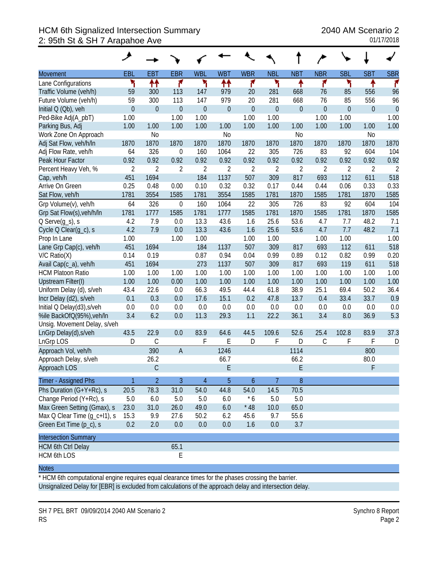# HCM 6th Signalized Intersection Summary 2040 AM Scenario 2 2: 95th St & SH 7 Arapahoe Ave 01/17/2018

|                              | ᢣ              |                |                  |                |                |                  |                |                |                |             |                |                |
|------------------------------|----------------|----------------|------------------|----------------|----------------|------------------|----------------|----------------|----------------|-------------|----------------|----------------|
| <b>Movement</b>              | EBL            | <b>EBT</b>     | <b>EBR</b>       | <b>WBL</b>     | <b>WBT</b>     | <b>WBR</b>       | <b>NBL</b>     | <b>NBT</b>     | <b>NBR</b>     | <b>SBL</b>  | <b>SBT</b>     | <b>SBR</b>     |
| Lane Configurations          | ۲              | ₩              | ۴                | ۲              | ↟↟             | ۴                | ۲              | ٠              | ۴              | ۲           | ↟              | ۴              |
| Traffic Volume (veh/h)       | 59             | 300            | 113              | 147            | 979            | 20               | 281            | 668            | 76             | 85          | 556            | 96             |
| Future Volume (veh/h)        | 59             | 300            | 113              | 147            | 979            | 20               | 281            | 668            | 76             | 85          | 556            | 96             |
| Initial Q (Qb), veh          | $\overline{0}$ | $\mathbf 0$    | $\mathbf{0}$     | $\mathbf 0$    | $\overline{0}$ | $\mathbf 0$      | $\mathbf 0$    | $\mathbf{0}$   | $\overline{0}$ | $\mathbf 0$ | $\overline{0}$ | $\overline{0}$ |
| Ped-Bike Adj(A_pbT)          | 1.00           |                | 1.00             | 1.00           |                | 1.00             | 1.00           |                | 1.00           | 1.00        |                | 1.00           |
| Parking Bus, Adj             | 1.00           | 1.00           | 1.00             | 1.00           | 1.00           | 1.00             | 1.00           | 1.00           | 1.00           | 1.00        | 1.00           | 1.00           |
| Work Zone On Approach        |                | N <sub>0</sub> |                  |                | N <sub>0</sub> |                  |                | N <sub>o</sub> |                |             | N <sub>0</sub> |                |
| Adj Sat Flow, veh/h/ln       | 1870           | 1870           | 1870             | 1870           | 1870           | 1870             | 1870           | 1870           | 1870           | 1870        | 1870           | 1870           |
| Adj Flow Rate, veh/h         | 64             | 326            | $\boldsymbol{0}$ | 160            | 1064           | 22               | 305            | 726            | 83             | 92          | 604            | 104            |
| Peak Hour Factor             | 0.92           | 0.92           | 0.92             | 0.92           | 0.92           | 0.92             | 0.92           | 0.92           | 0.92           | 0.92        | 0.92           | 0.92           |
| Percent Heavy Veh, %         | $\overline{2}$ | $\overline{2}$ | $\overline{2}$   | $\overline{2}$ | $\overline{2}$ | $\overline{2}$   | $\overline{2}$ | $\overline{2}$ | 2              | 2           | $\overline{2}$ | $\overline{2}$ |
| Cap, veh/h                   | 451            | 1694           |                  | 184            | 1137           | 507              | 309            | 817            | 693            | 112         | 611            | 518            |
| Arrive On Green              | 0.25           | 0.48           | 0.00             | 0.10           | 0.32           | 0.32             | 0.17           | 0.44           | 0.44           | 0.06        | 0.33           | 0.33           |
| Sat Flow, veh/h              | 1781           | 3554           | 1585             | 1781           | 3554           | 1585             | 1781           | 1870           | 1585           | 1781        | 1870           | 1585           |
| Grp Volume(v), veh/h         | 64             | 326            | $\mathbf 0$      | 160            | 1064           | 22               | 305            | 726            | 83             | 92          | 604            | 104            |
| Grp Sat Flow(s), veh/h/ln    | 1781           | 1777           | 1585             | 1781           | 1777           | 1585             | 1781           | 1870           | 1585           | 1781        | 1870           | 1585           |
| $Q$ Serve $(q_s)$ , s        | 4.2            | 7.9            | 0.0              | 13.3           | 43.6           | 1.6              | 25.6           | 53.6           | 4.7            | 7.7         | 48.2           | 7.1            |
| Cycle Q Clear(g_c), s        | 4.2            | 7.9            | 0.0              | 13.3           | 43.6           | 1.6              | 25.6           | 53.6           | 4.7            | 7.7         | 48.2           | 7.1            |
| Prop In Lane                 | 1.00           |                | 1.00             | 1.00           |                | 1.00             | 1.00           |                | 1.00           | 1.00        |                | 1.00           |
| Lane Grp Cap(c), veh/h       | 451            | 1694           |                  | 184            | 1137           | 507              | 309            | 817            | 693            | 112         | 611            | 518            |
| $V/C$ Ratio $(X)$            | 0.14           | 0.19           |                  | 0.87           | 0.94           | 0.04             | 0.99           | 0.89           | 0.12           | 0.82        | 0.99           | 0.20           |
| Avail Cap(c_a), veh/h        | 451            | 1694           |                  | 273            | 1137           | 507              | 309            | 817            | 693            | 119         | 611            | 518            |
| <b>HCM Platoon Ratio</b>     | 1.00           | 1.00           | 1.00             | 1.00           | 1.00           | 1.00             | 1.00           | 1.00           | 1.00           | 1.00        | 1.00           | 1.00           |
| Upstream Filter(I)           | 1.00           | 1.00           | 0.00             | 1.00           | 1.00           | 1.00             | 1.00           | 1.00           | 1.00           | 1.00        | 1.00           | 1.00           |
| Uniform Delay (d), s/veh     | 43.4           | 22.6           | 0.0              | 66.3           | 49.5           | 44.4             | 61.8           | 38.9           | 25.1           | 69.4        | 50.2           | 36.4           |
| Incr Delay (d2), s/veh       | 0.1            | 0.3            | 0.0              | 17.6           | 15.1           | 0.2              | 47.8           | 13.7           | 0.4            | 33.4        | 33.7           | 0.9            |
| Initial Q Delay(d3), s/veh   | $0.0\,$        | 0.0            | 0.0              | 0.0            | 0.0            | 0.0              | 0.0            | 0.0            | 0.0            | 0.0         | 0.0            | 0.0            |
| %ile BackOfQ(95%), veh/In    | 3.4            | 6.2            | 0.0              | 11.3           | 29.3           | 1.1              | 22.2           | 36.1           | 3.4            | 8.0         | 36.9           | 5.3            |
| Unsig. Movement Delay, s/veh |                |                |                  |                |                |                  |                |                |                |             |                |                |
| LnGrp Delay(d), s/veh        | 43.5           | 22.9           | 0.0              | 83.9           | 64.6           | 44.5             | 109.6          | 52.6           | 25.4           | 102.8       | 83.9           | 37.3           |
| LnGrp LOS                    | D              | $\mathsf C$    |                  | F              | E              | D                | F              | D              | $\mathsf C$    | F           | F              | D              |
| Approach Vol, veh/h          |                | 390            | $\overline{A}$   |                | 1246           |                  |                | 1114           |                |             | 800            |                |
| Approach Delay, s/veh        |                | 26.2           |                  |                | 66.7           |                  |                | 66.2           |                |             | 80.0           |                |
| Approach LOS                 |                | $\mathsf C$    |                  |                | E              |                  |                | E              |                |             | F              |                |
| Timer - Assigned Phs         |                | $\overline{2}$ | 3                | $\overline{4}$ | 5              | $\boldsymbol{6}$ | 7              | $\, 8$         |                |             |                |                |
| Phs Duration $(G+Y+Rc)$ , s  | 20.5           | 78.3           | 31.0             | 54.0           | 44.8           | 54.0             | 14.5           | 70.5           |                |             |                |                |
| Change Period (Y+Rc), s      | 5.0            | 6.0            | 5.0              | 5.0            | 6.0            | $*6$             | 5.0            | 5.0            |                |             |                |                |
| Max Green Setting (Gmax), s  | 23.0           | 31.0           | 26.0             | 49.0           | 6.0            | $*48$            | 10.0           | 65.0           |                |             |                |                |
| Max Q Clear Time (g_c+l1), s | 15.3           | 9.9            | 27.6             | 50.2           | 6.2            | 45.6             | 9.7            | 55.6           |                |             |                |                |
| Green Ext Time (p_c), s      | 0.2            | 2.0            | 0.0              | 0.0            | 0.0            | 1.6              | 0.0            | 3.7            |                |             |                |                |
| <b>Intersection Summary</b>  |                |                |                  |                |                |                  |                |                |                |             |                |                |
| <b>HCM 6th Ctrl Delay</b>    |                |                | 65.1             |                |                |                  |                |                |                |             |                |                |
| <b>HCM 6th LOS</b>           |                |                | E                |                |                |                  |                |                |                |             |                |                |

### **Notes**

\* HCM 6th computational engine requires equal clearance times for the phases crossing the barrier. Unsignalized Delay for [EBR] is excluded from calculations of the approach delay and intersection delay.

SH 7 PEL BRT 09/09/2014 2040 AM Scenario 2 Synchro 8 Report RS Page 2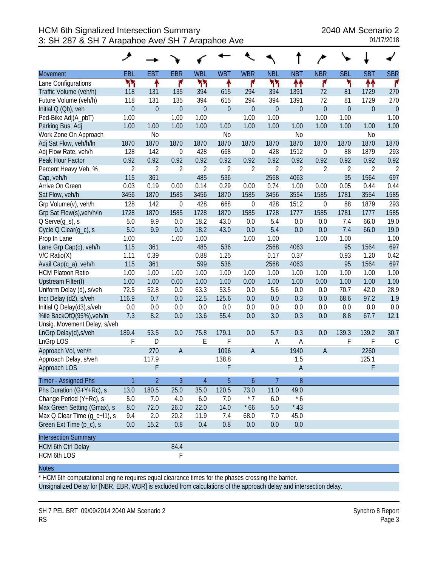|                              | عر             |                |                  |                |                |                  |                |                |                  |                |             |                |
|------------------------------|----------------|----------------|------------------|----------------|----------------|------------------|----------------|----------------|------------------|----------------|-------------|----------------|
| <b>Movement</b>              | <b>EBL</b>     | <b>EBT</b>     | <b>EBR</b>       | <b>WBL</b>     | <b>WBT</b>     | <b>WBR</b>       | <b>NBL</b>     | <b>NBT</b>     | <b>NBR</b>       | <b>SBL</b>     | <b>SBT</b>  | <b>SBR</b>     |
| Lane Configurations          | ካካ             | ↟              | ۴                | ካካ             | ۰              | ۴                | ሻሻ             | ↟↟             | ۴                | ۳              | ↟↟          | r              |
| Traffic Volume (veh/h)       | 118            | 131            | 135              | 394            | 615            | 294              | 394            | 1391           | 72               | 81             | 1729        | 270            |
| Future Volume (veh/h)        | 118            | 131            | 135              | 394            | 615            | 294              | 394            | 1391           | 72               | 81             | 1729        | 270            |
| Initial Q (Qb), veh          | $\overline{0}$ | $\mathbf 0$    | $\overline{0}$   | $\mathbf{0}$   | $\theta$       | $\overline{0}$   | $\mathbf 0$    | $\mathbf 0$    | $\theta$         | $\overline{0}$ | $\mathbf 0$ | $\overline{0}$ |
| Ped-Bike Adj(A_pbT)          | 1.00           |                | 1.00             | 1.00           |                | 1.00             | 1.00           |                | 1.00             | 1.00           |             | 1.00           |
| Parking Bus, Adj             | 1.00           | 1.00           | 1.00             | 1.00           | 1.00           | 1.00             | 1.00           | 1.00           | 1.00             | 1.00           | 1.00        | 1.00           |
| Work Zone On Approach        |                | N <sub>0</sub> |                  |                | N <sub>o</sub> |                  |                | N <sub>0</sub> |                  |                | No          |                |
| Adj Sat Flow, veh/h/ln       | 1870           | 1870           | 1870             | 1870           | 1870           | 1870             | 1870           | 1870           | 1870             | 1870           | 1870        | 1870           |
| Adj Flow Rate, veh/h         | 128            | 142            | $\boldsymbol{0}$ | 428            | 668            | $\boldsymbol{0}$ | 428            | 1512           | 0                | 88             | 1879        | 293            |
| Peak Hour Factor             | 0.92           | 0.92           | 0.92             | 0.92           | 0.92           | 0.92             | 0.92           | 0.92           | 0.92             | 0.92           | 0.92        | 0.92           |
| Percent Heavy Veh, %         | $\overline{2}$ | $\overline{2}$ | $\overline{2}$   | $\overline{2}$ | $\overline{2}$ | $\overline{2}$   | $\overline{2}$ | 2              | $\overline{2}$   | $\overline{2}$ | 2           | 2              |
| Cap, veh/h                   | 115            | 361            |                  | 485            | 536            |                  | 2568           | 4063           |                  | 95             | 1564        | 697            |
| Arrive On Green              | 0.03           | 0.19           | 0.00             | 0.14           | 0.29           | 0.00             | 0.74           | 1.00           | 0.00             | 0.05           | 0.44        | 0.44           |
| Sat Flow, veh/h              | 3456           | 1870           | 1585             | 3456           | 1870           | 1585             | 3456           | 3554           | 1585             | 1781           | 3554        | 1585           |
| Grp Volume(v), veh/h         | 128            | 142            | $\mathbf 0$      | 428            | 668            | $\boldsymbol{0}$ | 428            | 1512           | $\boldsymbol{0}$ | 88             | 1879        | 293            |
| Grp Sat Flow(s), veh/h/ln    | 1728           | 1870           | 1585             | 1728           | 1870           | 1585             | 1728           | 1777           | 1585             | 1781           | 1777        | 1585           |
| $Q$ Serve $(g_s)$ , s        | 5.0            | 9.9            | 0.0              | 18.2           | 43.0           | 0.0              | 5.4            | 0.0            | 0.0              | 7.4            | 66.0        | 19.0           |
| Cycle Q Clear(g_c), s        | 5.0            | 9.9            | 0.0              | 18.2           | 43.0           | 0.0              | 5.4            | 0.0            | 0.0              | 7.4            | 66.0        | 19.0           |
| Prop In Lane                 | 1.00           |                | 1.00             | 1.00           |                | 1.00             | 1.00           |                | 1.00             | 1.00           |             | 1.00           |
| Lane Grp Cap(c), veh/h       | 115            | 361            |                  | 485            | 536            |                  | 2568           | 4063           |                  | 95             | 1564        | 697            |
| $V/C$ Ratio $(X)$            | 1.11           | 0.39           |                  | 0.88           | 1.25           |                  | 0.17           | 0.37           |                  | 0.93           | 1.20        | 0.42           |
| Avail Cap(c_a), veh/h        | 115            | 361            |                  | 599            | 536            |                  | 2568           | 4063           |                  | 95             | 1564        | 697            |
| <b>HCM Platoon Ratio</b>     | 1.00           | 1.00           | 1.00             | 1.00           | 1.00           | 1.00             | 1.00           | 1.00           | 1.00             | 1.00           | 1.00        | 1.00           |
| Upstream Filter(I)           | 1.00           | 1.00           | 0.00             | 1.00           | 1.00           | 0.00             | 1.00           | 1.00           | 0.00             | 1.00           | 1.00        | 1.00           |
| Uniform Delay (d), s/veh     | 72.5           | 52.8           | 0.0              | 63.3           | 53.5           | 0.0              | 5.6            | 0.0            | 0.0              | 70.7           | 42.0        | 28.9           |
| Incr Delay (d2), s/veh       | 116.9          | 0.7            | 0.0              | 12.5           | 125.6          | 0.0              | 0.0            | 0.3            | 0.0              | 68.6           | 97.2        | 1.9            |
| Initial Q Delay(d3), s/veh   | 0.0            | 0.0            | 0.0              | 0.0            | 0.0            | 0.0              | 0.0            | 0.0            | 0.0              | 0.0            | 0.0         | 0.0            |
| %ile BackOfQ(95%), veh/In    | 7.3            | 8.2            | 0.0              | 13.6           | 55.4           | 0.0              | 3.0            | 0.3            | 0.0              | 8.8            | 67.7        | 12.1           |
| Unsig. Movement Delay, s/veh |                |                |                  |                |                |                  |                |                |                  |                |             |                |
| LnGrp Delay(d), s/veh        | 189.4          | 53.5           | 0.0              | 75.8           | 179.1          | 0.0              | 5.7            | 0.3            | 0.0              | 139.3          | 139.2       | 30.7           |
| LnGrp LOS                    | F              | D              |                  | E              | F              |                  | A              | Α              |                  | F              | F           | $\mathsf C$    |
| Approach Vol, veh/h          |                | 270            | $\overline{A}$   |                | 1096           | $\overline{A}$   |                | 1940           | $\overline{A}$   |                | 2260        |                |
| Approach Delay, s/veh        |                | 117.9          |                  |                | 138.8          |                  |                | 1.5            |                  |                | 125.1       |                |
| Approach LOS                 |                | F              |                  |                | F              |                  |                | $\mathsf{A}$   |                  |                | F           |                |
| Timer - Assigned Phs         | $\mathbf{1}$   | $\overline{2}$ | 3                | $\overline{4}$ | 5              | 6                | 7              | 8              |                  |                |             |                |
| Phs Duration (G+Y+Rc), s     | 13.0           | 180.5          | 25.0             | 35.0           | 120.5          | 73.0             | 11.0           | 49.0           |                  |                |             |                |
| Change Period (Y+Rc), s      | 5.0            | 7.0            | 4.0              | 6.0            | 7.0            | $*7$             | 6.0            | $*6$           |                  |                |             |                |
| Max Green Setting (Gmax), s  | 8.0            | 72.0           | 26.0             | 22.0           | 14.0           | $*66$            | 5.0            | $*43$          |                  |                |             |                |
| Max Q Clear Time (q_c+l1), s | 9.4            | 2.0            | 20.2             | 11.9           | 7.4            | 68.0             | 7.0            | 45.0           |                  |                |             |                |
| Green Ext Time (p_c), s      | 0.0            | 15.2           | 0.8              | 0.4            | 0.8            | 0.0              | 0.0            | 0.0            |                  |                |             |                |
| <b>Intersection Summary</b>  |                |                |                  |                |                |                  |                |                |                  |                |             |                |
| <b>HCM 6th Ctrl Delay</b>    |                |                | 84.4             |                |                |                  |                |                |                  |                |             |                |
| <b>HCM 6th LOS</b>           |                |                | $\mathsf F$      |                |                |                  |                |                |                  |                |             |                |

\* HCM 6th computational engine requires equal clearance times for the phases crossing the barrier. Unsignalized Delay for [NBR, EBR, WBR] is excluded from calculations of the approach delay and intersection delay.

SH 7 PEL BRT 09/09/2014 2040 AM Scenario 2 Synchro 8 Report RS Page 3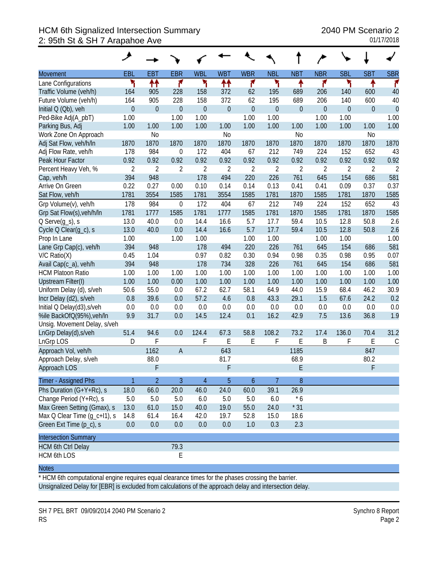# HCM 6th Signalized Intersection Summary 2040 PM Scenario 2 2: 95th St & SH 7 Arapahoe Ave 01/17/2018

|                                             | ↗                |                  |                  |                |                |                  |                  |                  |                |                  |                |                |
|---------------------------------------------|------------------|------------------|------------------|----------------|----------------|------------------|------------------|------------------|----------------|------------------|----------------|----------------|
| Movement                                    | EBL              | <b>EBT</b>       | <b>EBR</b>       | <b>WBL</b>     | <b>WBT</b>     | <b>WBR</b>       | <b>NBL</b>       | <b>NBT</b>       | <b>NBR</b>     | <b>SBL</b>       | <b>SBT</b>     | <b>SBR</b>     |
| Lane Configurations                         | ۲                | ↟↟               | ۴                | ۲              | <u>ለት</u>      | ۴                | ۲                | ↟                | ۴              | ۲                |                | ۴              |
| Traffic Volume (veh/h)                      | 164              | 905              | 228              | 158            | 372            | 62               | 195              | 689              | 206            | 140              | 600            | 40             |
| Future Volume (veh/h)                       | 164              | 905              | 228              | 158            | 372            | 62               | 195              | 689              | 206            | 140              | 600            | 40             |
| Initial Q (Qb), veh                         | $\boldsymbol{0}$ | $\boldsymbol{0}$ | $\boldsymbol{0}$ | $\theta$       | $\mathbf{0}$   | $\boldsymbol{0}$ | $\boldsymbol{0}$ | $\boldsymbol{0}$ | $\theta$       | $\boldsymbol{0}$ | $\mathbf 0$    | $\overline{0}$ |
| Ped-Bike Adj(A_pbT)                         | 1.00             |                  | 1.00             | 1.00           |                | 1.00             | 1.00             |                  | 1.00           | 1.00             |                | 1.00           |
| Parking Bus, Adj                            | 1.00             | 1.00             | 1.00             | 1.00           | 1.00           | 1.00             | 1.00             | 1.00             | 1.00           | 1.00             | 1.00           | 1.00           |
| Work Zone On Approach                       |                  | N <sub>0</sub>   |                  |                | N <sub>o</sub> |                  |                  | N <sub>0</sub>   |                |                  | N <sub>0</sub> |                |
| Adj Sat Flow, veh/h/ln                      | 1870             | 1870             | 1870             | 1870           | 1870           | 1870             | 1870             | 1870             | 1870           | 1870             | 1870           | 1870           |
| Adj Flow Rate, veh/h                        | 178              | 984              | $\boldsymbol{0}$ | 172            | 404            | 67               | 212              | 749              | 224            | 152              | 652            | 43             |
| Peak Hour Factor                            | 0.92             | 0.92             | 0.92             | 0.92           | 0.92           | 0.92             | 0.92             | 0.92             | 0.92           | 0.92             | 0.92           | 0.92           |
| Percent Heavy Veh, %                        | $\overline{2}$   | $\overline{2}$   | $\overline{2}$   | $\overline{2}$ | $\overline{2}$ | $\overline{2}$   | $\sqrt{2}$       | $\overline{2}$   | $\overline{2}$ | $\overline{2}$   | $\overline{2}$ | $\overline{2}$ |
| Cap, veh/h                                  | 394              | 948              |                  | 178            | 494            | 220              | 226              | 761              | 645            | 154              | 686            | 581            |
| Arrive On Green                             | 0.22             | 0.27             | 0.00             | 0.10           | 0.14           | 0.14             | 0.13             | 0.41             | 0.41           | 0.09             | 0.37           | 0.37           |
| Sat Flow, veh/h                             | 1781             | 3554             | 1585             | 1781           | 3554           | 1585             | 1781             | 1870             | 1585           | 1781             | 1870           | 1585           |
| Grp Volume(v), veh/h                        | 178              | 984              | $\mathbf 0$      | 172            | 404            | 67               | 212              | 749              | 224            | 152              | 652            | 43             |
| Grp Sat Flow(s), veh/h/ln                   | 1781             | 1777             | 1585             | 1781           | 1777           | 1585             | 1781             | 1870             | 1585           | 1781             | 1870           | 1585           |
| $Q$ Serve $(g_s)$ , s                       | 13.0             | 40.0             | 0.0              | 14.4           | 16.6           | 5.7              | 17.7             | 59.4             | 10.5           | 12.8             | 50.8           | 2.6            |
| Cycle Q Clear(g_c), s                       | 13.0             | 40.0             | 0.0              | 14.4           | 16.6           | 5.7              | 17.7             | 59.4             | 10.5           | 12.8             | 50.8           | 2.6            |
| Prop In Lane                                | 1.00<br>394      | 948              | 1.00             | 1.00<br>178    | 494            | 1.00<br>220      | 1.00<br>226      | 761              | 1.00<br>645    | 1.00<br>154      | 686            | 1.00<br>581    |
| Lane Grp Cap(c), veh/h<br>$V/C$ Ratio $(X)$ | 0.45             | 1.04             |                  | 0.97           | 0.82           | 0.30             | 0.94             | 0.98             | 0.35           | 0.98             | 0.95           | 0.07           |
| Avail Cap(c_a), veh/h                       | 394              | 948              |                  | 178            | 734            | 328              | 226              | 761              | 645            | 154              | 686            | 581            |
| <b>HCM Platoon Ratio</b>                    | 1.00             | 1.00             | 1.00             | 1.00           | 1.00           | 1.00             | 1.00             | 1.00             | 1.00           | 1.00             | 1.00           | 1.00           |
| Upstream Filter(I)                          | 1.00             | 1.00             | 0.00             | 1.00           | 1.00           | 1.00             | 1.00             | 1.00             | 1.00           | 1.00             | 1.00           | 1.00           |
| Uniform Delay (d), s/veh                    | 50.6             | 55.0             | 0.0              | 67.2           | 62.7           | 58.1             | 64.9             | 44.0             | 15.9           | 68.4             | 46.2           | 30.9           |
| Incr Delay (d2), s/veh                      | 0.8              | 39.6             | 0.0              | 57.2           | 4.6            | 0.8              | 43.3             | 29.1             | 1.5            | 67.6             | 24.2           | 0.2            |
| Initial Q Delay(d3), s/veh                  | 0.0              | 0.0              | 0.0              | 0.0            | 0.0            | 0.0              | 0.0              | 0.0              | 0.0            | 0.0              | 0.0            | 0.0            |
| %ile BackOfQ(95%), veh/In                   | 9.9              | 31.7             | 0.0              | 14.5           | 12.4           | 0.1              | 16.2             | 42.9             | 7.5            | 13.6             | 36.8           | 1.9            |
| Unsig. Movement Delay, s/veh                |                  |                  |                  |                |                |                  |                  |                  |                |                  |                |                |
| LnGrp Delay(d), s/veh                       | 51.4             | 94.6             | 0.0              | 124.4          | 67.3           | 58.8             | 108.2            | 73.2             | 17.4           | 136.0            | 70.4           | 31.2           |
| LnGrp LOS                                   | D                | F                |                  | F              | E              | Ε                | F                | E                | Β              | F                | Ε              | $\mathsf C$    |
| Approach Vol, veh/h                         |                  | 1162             | $\mathsf{A}$     |                | 643            |                  |                  | 1185             |                |                  | 847            |                |
| Approach Delay, s/veh                       |                  | 88.0             |                  |                | 81.7           |                  |                  | 68.9             |                |                  | 80.2           |                |
| Approach LOS                                |                  | F                |                  |                | F              |                  |                  | F                |                |                  | F              |                |
| Timer - Assigned Phs                        | 1                | $\overline{2}$   | 3                | 4              | 5              | 6                | 7                | 8                |                |                  |                |                |
| Phs Duration (G+Y+Rc), s                    | 18.0             | 66.0             | 20.0             | 46.0           | 24.0           | 60.0             | 39.1             | 26.9             |                |                  |                |                |
| Change Period (Y+Rc), s                     | $5.0\,$          | 5.0              | 5.0              | 6.0            | 5.0            | 5.0              | 6.0              | $*6$             |                |                  |                |                |
| Max Green Setting (Gmax), s                 | 13.0             | 61.0             | 15.0             | 40.0           | 19.0           | 55.0             | 24.0             | $*31$            |                |                  |                |                |
| Max Q Clear Time (g_c+l1), s                | 14.8             | 61.4             | 16.4             | 42.0           | 19.7           | 52.8             | 15.0             | 18.6             |                |                  |                |                |
| Green Ext Time (p_c), s                     | 0.0              | 0.0              | 0.0              | 0.0            | 0.0            | 1.0              | 0.3              | 2.3              |                |                  |                |                |
| <b>Intersection Summary</b>                 |                  |                  |                  |                |                |                  |                  |                  |                |                  |                |                |
| <b>HCM 6th Ctrl Delay</b>                   |                  |                  | 79.3             |                |                |                  |                  |                  |                |                  |                |                |
| <b>HCM 6th LOS</b>                          |                  |                  | E                |                |                |                  |                  |                  |                |                  |                |                |

#### **Notes**

\* HCM 6th computational engine requires equal clearance times for the phases crossing the barrier. Unsignalized Delay for [EBR] is excluded from calculations of the approach delay and intersection delay.

SH 7 PEL BRT 09/09/2014 2040 PM Scenario 2 Synchro 8 Report RS Page 2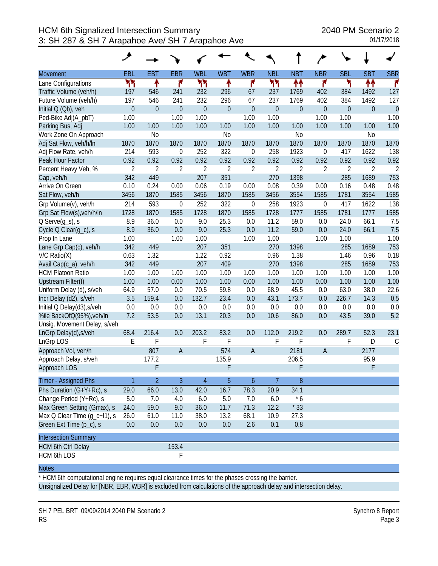|                              | عر               |                  |                  |                  |                  |                  |                  |                |                  |                  |                  |                |
|------------------------------|------------------|------------------|------------------|------------------|------------------|------------------|------------------|----------------|------------------|------------------|------------------|----------------|
| Movement                     | <b>EBL</b>       | <b>EBT</b>       | <b>EBR</b>       | <b>WBL</b>       | <b>WBT</b>       | <b>WBR</b>       | <b>NBL</b>       | <b>NBT</b>     | <b>NBR</b>       | <b>SBL</b>       | <b>SBT</b>       | <b>SBR</b>     |
| Lane Configurations          | ካካ               | ↟                | ۴                | ካካ               | ۰                | ۴                | ካነ               | ↟↟             | ۴                | ۲                | ↟↟               | r              |
| Traffic Volume (veh/h)       | 197              | 546              | 241              | 232              | 296              | 67               | 237              | 1769           | 402              | 384              | 1492             | 127            |
| Future Volume (veh/h)        | 197              | 546              | 241              | 232              | 296              | 67               | 237              | 1769           | 402              | 384              | 1492             | 127            |
| Initial Q (Qb), veh          | $\boldsymbol{0}$ | $\boldsymbol{0}$ | $\boldsymbol{0}$ | $\boldsymbol{0}$ | $\boldsymbol{0}$ | $\mathbf 0$      | $\boldsymbol{0}$ | $\overline{0}$ | $\boldsymbol{0}$ | $\boldsymbol{0}$ | $\boldsymbol{0}$ | $\theta$       |
| Ped-Bike Adj(A_pbT)          | 1.00             |                  | 1.00             | 1.00             |                  | 1.00             | 1.00             |                | 1.00             | 1.00             |                  | 1.00           |
| Parking Bus, Adj             | 1.00             | 1.00             | 1.00             | 1.00             | 1.00             | 1.00             | 1.00             | 1.00           | 1.00             | 1.00             | 1.00             | 1.00           |
| Work Zone On Approach        |                  | N <sub>o</sub>   |                  |                  | N <sub>o</sub>   |                  |                  | N <sub>0</sub> |                  |                  | N <sub>0</sub>   |                |
| Adj Sat Flow, veh/h/ln       | 1870             | 1870             | 1870             | 1870             | 1870             | 1870             | 1870             | 1870           | 1870             | 1870             | 1870             | 1870           |
| Adj Flow Rate, veh/h         | 214              | 593              | $\boldsymbol{0}$ | 252              | 322              | $\boldsymbol{0}$ | 258              | 1923           | $\mathbf 0$      | 417              | 1622             | 138            |
| Peak Hour Factor             | 0.92             | 0.92             | 0.92             | 0.92             | 0.92             | 0.92             | 0.92             | 0.92           | 0.92             | 0.92             | 0.92             | 0.92           |
| Percent Heavy Veh, %         | $\overline{2}$   | $\overline{2}$   | 2                | $\overline{2}$   | $\overline{2}$   | $\overline{2}$   | $\sqrt{2}$       | $\overline{2}$ | 2                | $\overline{2}$   | $\overline{2}$   | $\overline{2}$ |
| Cap, veh/h                   | 342              | 449              |                  | 207              | 351              |                  | 270              | 1398           |                  | 285              | 1689             | 753            |
| Arrive On Green              | 0.10             | 0.24             | 0.00             | 0.06             | 0.19             | 0.00             | 0.08             | 0.39           | 0.00             | 0.16             | 0.48             | 0.48           |
| Sat Flow, veh/h              | 3456             | 1870             | 1585             | 3456             | 1870             | 1585             | 3456             | 3554           | 1585             | 1781             | 3554             | 1585           |
| Grp Volume(v), veh/h         | 214              | 593              | $\boldsymbol{0}$ | 252              | 322              | $\boldsymbol{0}$ | 258              | 1923           | $\mathbf 0$      | 417              | 1622             | 138            |
| Grp Sat Flow(s), veh/h/ln    | 1728             | 1870             | 1585             | 1728             | 1870             | 1585             | 1728             | 1777           | 1585             | 1781             | 1777             | 1585           |
| $Q$ Serve $(g_s)$ , s        | 8.9              | 36.0             | 0.0              | 9.0              | 25.3             | 0.0              | 11.2             | 59.0           | 0.0              | 24.0             | 66.1             | 7.5            |
| Cycle Q Clear(g_c), s        | 8.9              | 36.0             | 0.0              | 9.0              | 25.3             | 0.0              | 11.2             | 59.0           | 0.0              | 24.0             | 66.1             | 7.5            |
| Prop In Lane                 | 1.00             |                  | 1.00             | 1.00             |                  | 1.00             | 1.00             |                | 1.00             | 1.00             |                  | 1.00           |
| Lane Grp Cap(c), veh/h       | 342              | 449              |                  | 207              | 351              |                  | 270              | 1398           |                  | 285              | 1689             | 753            |
| $V/C$ Ratio $(X)$            | 0.63             | 1.32             |                  | 1.22             | 0.92             |                  | 0.96             | 1.38           |                  | 1.46             | 0.96             | 0.18           |
| Avail Cap(c_a), veh/h        | 342              | 449              |                  | 207              | 409              |                  | 270              | 1398           |                  | 285              | 1689             | 753            |
| <b>HCM Platoon Ratio</b>     | 1.00             | 1.00             | 1.00             | 1.00             | 1.00             | 1.00             | 1.00             | 1.00           | 1.00             | 1.00             | 1.00             | 1.00           |
| <b>Upstream Filter(I)</b>    | 1.00             | 1.00             | 0.00             | 1.00             | 1.00             | 0.00             | 1.00             | 1.00           | 0.00             | 1.00             | 1.00             | 1.00           |
| Uniform Delay (d), s/veh     | 64.9             | 57.0             | 0.0              | 70.5             | 59.8             | 0.0              | 68.9             | 45.5           | 0.0              | 63.0             | 38.0             | 22.6           |
| Incr Delay (d2), s/veh       | 3.5              | 159.4            | 0.0              | 132.7            | 23.4             | 0.0              | 43.1             | 173.7          | 0.0              | 226.7            | 14.3             | 0.5            |
| Initial Q Delay(d3), s/veh   | 0.0              | 0.0              | 0.0              | 0.0              | 0.0              | 0.0              | 0.0              | 0.0            | 0.0              | 0.0              | 0.0              | 0.0            |
| %ile BackOfQ(95%), veh/In    | 7.2              | 53.5             | 0.0              | 13.1             | 20.3             | 0.0              | 10.6             | 86.0           | 0.0              | 43.5             | 39.0             | 5.2            |
| Unsig. Movement Delay, s/veh |                  |                  |                  |                  |                  |                  |                  |                |                  |                  |                  |                |
| LnGrp Delay(d), s/veh        | 68.4             | 216.4            | 0.0              | 203.2            | 83.2             | 0.0              | 112.0            | 219.2          | 0.0              | 289.7            | 52.3             | 23.1           |
| LnGrp LOS                    | E                | F                |                  | F                | F                |                  | F                | F              |                  | F                | D                | $\mathcal{C}$  |
| Approach Vol, veh/h          |                  | 807              | $\overline{A}$   |                  | 574              | $\overline{A}$   |                  | 2181           | $\overline{A}$   |                  | 2177             |                |
| Approach Delay, s/veh        |                  | 177.2            |                  |                  | 135.9            |                  |                  | 206.5          |                  |                  | 95.9             |                |
| Approach LOS                 |                  | F                |                  |                  | F                |                  |                  | F              |                  |                  | F                |                |
| Timer - Assigned Phs         | $\mathbf{1}$     | $\overline{2}$   | 3                | $\overline{4}$   | 5                | $\boldsymbol{6}$ | 7                | 8              |                  |                  |                  |                |
| Phs Duration (G+Y+Rc), s     | 29.0             | 66.0             | 13.0             | 42.0             | 16.7             | 78.3             | 20.9             | 34.1           |                  |                  |                  |                |
| Change Period (Y+Rc), s      | 5.0              | 7.0              | 4.0              | 6.0              | $5.0\,$          | 7.0              | 6.0              | $*6$           |                  |                  |                  |                |
| Max Green Setting (Gmax), s  | 24.0             | 59.0             | 9.0              | 36.0             | 11.7             | 71.3             | 12.2             | $*33$          |                  |                  |                  |                |
| Max Q Clear Time (g_c+l1), s | 26.0             | 61.0             | 11.0             | 38.0             | 13.2             | 68.1             | 10.9             | 27.3           |                  |                  |                  |                |
| Green Ext Time (p_c), s      | 0.0              | 0.0              | 0.0              | 0.0              | 0.0              | 2.6              | 0.1              | 0.8            |                  |                  |                  |                |
| <b>Intersection Summary</b>  |                  |                  |                  |                  |                  |                  |                  |                |                  |                  |                  |                |
| <b>HCM 6th Ctrl Delay</b>    |                  |                  | 153.4            |                  |                  |                  |                  |                |                  |                  |                  |                |
| HCM 6th LOS                  |                  |                  | F                |                  |                  |                  |                  |                |                  |                  |                  |                |

\* HCM 6th computational engine requires equal clearance times for the phases crossing the barrier. Unsignalized Delay for [NBR, EBR, WBR] is excluded from calculations of the approach delay and intersection delay.

SH 7 PEL BRT 09/09/2014 2040 PM Scenario 2 Synchro 8 Report RS Page 3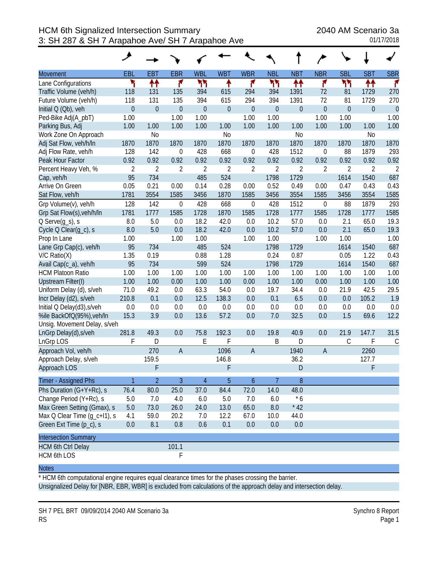|                              | ◢                |                  |                  |                  |                  |                  |                  |                  |                  |                |                  |                |
|------------------------------|------------------|------------------|------------------|------------------|------------------|------------------|------------------|------------------|------------------|----------------|------------------|----------------|
| Movement                     | <b>EBL</b>       | <b>EBT</b>       | <b>EBR</b>       | <b>WBL</b>       | <b>WBT</b>       | <b>WBR</b>       | <b>NBL</b>       | <b>NBT</b>       | <b>NBR</b>       | <b>SBL</b>     | <b>SBT</b>       | <b>SBR</b>     |
| Lane Configurations          | ۲                | ↟↟               | ۴                | ካካ               | ↟                | ۴                | ካነ               | ↟↟               | ۴                | ካካ             | ↟↟               | r              |
| Traffic Volume (veh/h)       | 118              | 131              | 135              | 394              | 615              | 294              | 394              | 1391             | 72               | 81             | 1729             | 270            |
| Future Volume (veh/h)        | 118              | 131              | 135              | 394              | 615              | 294              | 394              | 1391             | 72               | 81             | 1729             | 270            |
| Initial Q (Qb), veh          | $\boldsymbol{0}$ | $\boldsymbol{0}$ | $\overline{0}$   | $\boldsymbol{0}$ | $\boldsymbol{0}$ | $\boldsymbol{0}$ | $\boldsymbol{0}$ | $\boldsymbol{0}$ | $\boldsymbol{0}$ | $\overline{0}$ | $\boldsymbol{0}$ | $\mathbf{0}$   |
| Ped-Bike Adj(A_pbT)          | 1.00             |                  | 1.00             | 1.00             |                  | 1.00             | 1.00             |                  | 1.00             | 1.00           |                  | 1.00           |
| Parking Bus, Adj             | 1.00             | 1.00             | 1.00             | 1.00             | 1.00             | 1.00             | 1.00             | 1.00             | 1.00             | 1.00           | 1.00             | 1.00           |
| Work Zone On Approach        |                  | N <sub>0</sub>   |                  |                  | N <sub>o</sub>   |                  |                  | N <sub>o</sub>   |                  |                | N <sub>0</sub>   |                |
| Adj Sat Flow, veh/h/ln       | 1870             | 1870             | 1870             | 1870             | 1870             | 1870             | 1870             | 1870             | 1870             | 1870           | 1870             | 1870           |
| Adj Flow Rate, veh/h         | 128              | 142              | $\boldsymbol{0}$ | 428              | 668              | $\boldsymbol{0}$ | 428              | 1512             | $\boldsymbol{0}$ | 88             | 1879             | 293            |
| Peak Hour Factor             | 0.92             | 0.92             | 0.92             | 0.92             | 0.92             | 0.92             | 0.92             | 0.92             | 0.92             | 0.92           | 0.92             | 0.92           |
| Percent Heavy Veh, %         | $\overline{2}$   | $\overline{2}$   | $\overline{2}$   | $\overline{2}$   | $\overline{2}$   | $\overline{2}$   | $\overline{2}$   | $\overline{2}$   | $\overline{2}$   | $\overline{2}$ | $\overline{2}$   | $\overline{2}$ |
| Cap, veh/h                   | 95               | 734              |                  | 485              | 524              |                  | 1798             | 1729             |                  | 1614           | 1540             | 687            |
| Arrive On Green              | 0.05             | 0.21             | 0.00             | 0.14             | 0.28             | 0.00             | 0.52             | 0.49             | 0.00             | 0.47           | 0.43             | 0.43           |
| Sat Flow, veh/h              | 1781             | 3554             | 1585             | 3456             | 1870             | 1585             | 3456             | 3554             | 1585             | 3456           | 3554             | 1585           |
| Grp Volume(v), veh/h         | 128              | 142              | $\boldsymbol{0}$ | 428              | 668              | $\boldsymbol{0}$ | 428              | 1512             | $\boldsymbol{0}$ | 88             | 1879             | 293            |
| Grp Sat Flow(s), veh/h/ln    | 1781             | 1777             | 1585             | 1728             | 1870             | 1585             | 1728             | 1777             | 1585             | 1728           | 1777             | 1585           |
| $Q$ Serve $(g_s)$ , s        | 8.0              | 5.0              | 0.0              | 18.2             | 42.0             | 0.0              | 10.2             | 57.0             | 0.0              | 2.1            | 65.0             | 19.3           |
| Cycle Q Clear(q_c), s        | 8.0              | 5.0              | 0.0              | 18.2             | 42.0             | 0.0              | 10.2             | 57.0             | 0.0              | 2.1            | 65.0             | 19.3           |
| Prop In Lane                 | 1.00             |                  | 1.00             | 1.00             |                  | 1.00             | 1.00             |                  | 1.00             | 1.00           |                  | 1.00           |
| Lane Grp Cap(c), veh/h       | 95               | 734              |                  | 485              | 524              |                  | 1798             | 1729             |                  | 1614           | 1540             | 687            |
| $V/C$ Ratio $(X)$            | 1.35             | 0.19             |                  | 0.88             | 1.28             |                  | 0.24             | 0.87             |                  | 0.05           | 1.22             | 0.43           |
| Avail Cap(c_a), veh/h        | 95               | 734              |                  | 599              | 524              |                  | 1798             | 1729             |                  | 1614           | 1540             | 687            |
| <b>HCM Platoon Ratio</b>     | 1.00             | 1.00             | 1.00             | 1.00             | 1.00             | 1.00             | 1.00             | 1.00             | 1.00             | 1.00           | 1.00             | 1.00           |
| <b>Upstream Filter(I)</b>    | 1.00             | 1.00             | 0.00             | 1.00             | 1.00             | 0.00             | 1.00             | 1.00             | 0.00             | 1.00           | 1.00             | 1.00           |
| Uniform Delay (d), s/veh     | 71.0             | 49.2             | 0.0              | 63.3             | 54.0             | 0.0              | 19.7             | 34.4             | 0.0              | 21.9           | 42.5             | 29.5           |
| Incr Delay (d2), s/veh       | 210.8            | 0.1              | 0.0              | 12.5             | 138.3            | 0.0              | 0.1              | 6.5              | 0.0              | 0.0            | 105.2            | 1.9            |
| Initial Q Delay(d3), s/veh   | 0.0              | 0.0              | 0.0              | 0.0              | 0.0              | 0.0              | 0.0              | 0.0              | 0.0              | 0.0            | 0.0              | 0.0            |
| %ile BackOfQ(95%), veh/In    | 15.3             | 3.9              | 0.0              | 13.6             | 57.2             | 0.0              | 7.0              | 32.5             | 0.0              | 1.5            | 69.6             | 12.2           |
| Unsig. Movement Delay, s/veh |                  |                  |                  |                  |                  |                  |                  |                  |                  |                |                  |                |
| LnGrp Delay(d), s/veh        | 281.8            | 49.3             | 0.0              | 75.8             | 192.3            | 0.0              | 19.8             | 40.9             | 0.0              | 21.9           | 147.7            | 31.5           |
| LnGrp LOS                    | F                | D                |                  | E                | F                |                  | B                | D                |                  | С              | F                | $\mathsf C$    |
| Approach Vol, veh/h          |                  | 270              | $\overline{A}$   |                  | 1096             | $\overline{A}$   |                  | 1940             | $\overline{A}$   |                | 2260             |                |
| Approach Delay, s/veh        |                  | 159.5            |                  |                  | 146.8            |                  |                  | 36.2             |                  |                | 127.7            |                |
| Approach LOS                 |                  | F                |                  |                  | F                |                  |                  | $\mathsf D$      |                  |                | F                |                |
| Timer - Assigned Phs         | $\mathbf{1}$     | $\overline{2}$   | 3                | $\overline{4}$   | 5                | $\boldsymbol{6}$ | 7                | 8                |                  |                |                  |                |
| Phs Duration (G+Y+Rc), s     | 76.4             | 80.0             | 25.0             | 37.0             | 84.4             | 72.0             | 14.0             | 48.0             |                  |                |                  |                |
| Change Period (Y+Rc), s      | 5.0              | 7.0              | 4.0              | 6.0              | 5.0              | 7.0              | 6.0              | $*6$             |                  |                |                  |                |
| Max Green Setting (Gmax), s  | 5.0              | 73.0             | 26.0             | 24.0             | 13.0             | 65.0             | 8.0              | $*42$            |                  |                |                  |                |
| Max Q Clear Time (g_c+l1), s | 4.1              | 59.0             | 20.2             | 7.0              | 12.2             | 67.0             | 10.0             | 44.0             |                  |                |                  |                |
| Green Ext Time (p_c), s      | 0.0              | 8.1              | 0.8              | 0.6              | 0.1              | 0.0              | 0.0              | 0.0              |                  |                |                  |                |
| <b>Intersection Summary</b>  |                  |                  |                  |                  |                  |                  |                  |                  |                  |                |                  |                |
| <b>HCM 6th Ctrl Delay</b>    |                  |                  | 101.1            |                  |                  |                  |                  |                  |                  |                |                  |                |
| HCM 6th LOS                  |                  |                  | F                |                  |                  |                  |                  |                  |                  |                |                  |                |

\* HCM 6th computational engine requires equal clearance times for the phases crossing the barrier. Unsignalized Delay for [NBR, EBR, WBR] is excluded from calculations of the approach delay and intersection delay.

SH 7 PEL BRT 09/09/2014 2040 AM Scenario 3a Synchro 8 Report RS Page 1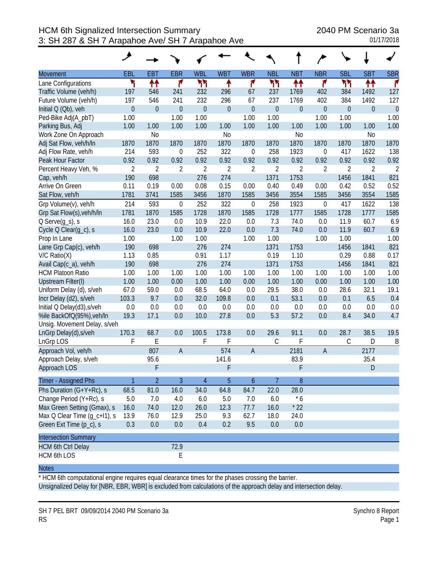|                              | ◢                |                |                  |                  |                  |                  |                  |                  |                  |                  |                |                |
|------------------------------|------------------|----------------|------------------|------------------|------------------|------------------|------------------|------------------|------------------|------------------|----------------|----------------|
| Movement                     | <b>EBL</b>       | <b>EBT</b>     | <b>EBR</b>       | <b>WBL</b>       | <b>WBT</b>       | <b>WBR</b>       | <b>NBL</b>       | <b>NBT</b>       | <b>NBR</b>       | <b>SBL</b>       | <b>SBT</b>     | <b>SBR</b>     |
| Lane Configurations          | ۲                | ↟↟             | ۴                | ካካ               | ۰                | ۴                | ካነ               | ↟↟               | ۴                | ካካ               | ↟↟             | r              |
| Traffic Volume (veh/h)       | 197              | 546            | 241              | 232              | 296              | 67               | 237              | 1769             | 402              | 384              | 1492           | 127            |
| Future Volume (veh/h)        | 197              | 546            | 241              | 232              | 296              | 67               | 237              | 1769             | 402              | 384              | 1492           | 127            |
| Initial Q (Qb), veh          | $\boldsymbol{0}$ | $\mathbf 0$    | $\overline{0}$   | $\boldsymbol{0}$ | $\boldsymbol{0}$ | $\mathbf 0$      | $\boldsymbol{0}$ | $\boldsymbol{0}$ | $\boldsymbol{0}$ | $\boldsymbol{0}$ | $\mathbf 0$    | $\mathbf 0$    |
| Ped-Bike Adj(A_pbT)          | 1.00             |                | 1.00             | 1.00             |                  | 1.00             | 1.00             |                  | 1.00             | 1.00             |                | 1.00           |
| Parking Bus, Adj             | 1.00             | 1.00           | 1.00             | 1.00             | 1.00             | 1.00             | 1.00             | 1.00             | 1.00             | 1.00             | 1.00           | 1.00           |
| Work Zone On Approach        |                  | N <sub>o</sub> |                  |                  | N <sub>o</sub>   |                  |                  | N <sub>0</sub>   |                  |                  | N <sub>0</sub> |                |
| Adj Sat Flow, veh/h/ln       | 1870             | 1870           | 1870             | 1870             | 1870             | 1870             | 1870             | 1870             | 1870             | 1870             | 1870           | 1870           |
| Adj Flow Rate, veh/h         | 214              | 593            | $\boldsymbol{0}$ | 252              | 322              | $\mathbf 0$      | 258              | 1923             | $\boldsymbol{0}$ | 417              | 1622           | 138            |
| Peak Hour Factor             | 0.92             | 0.92           | 0.92             | 0.92             | 0.92             | 0.92             | 0.92             | 0.92             | 0.92             | 0.92             | 0.92           | 0.92           |
| Percent Heavy Veh, %         | $\overline{2}$   | $\overline{2}$ | $\overline{2}$   | $\overline{2}$   | $\overline{2}$   | $\overline{2}$   | $\overline{2}$   | $\overline{2}$   | $\overline{2}$   | $\overline{2}$   | 2              | $\overline{2}$ |
| Cap, veh/h                   | 190              | 698            |                  | 276              | 274              |                  | 1371             | 1753             |                  | 1456             | 1841           | 821            |
| Arrive On Green              | 0.11             | 0.19           | 0.00             | 0.08             | 0.15             | 0.00             | 0.40             | 0.49             | 0.00             | 0.42             | 0.52           | 0.52           |
| Sat Flow, veh/h              | 1781             | 3741           | 1585             | 3456             | 1870             | 1585             | 3456             | 3554             | 1585             | 3456             | 3554           | 1585           |
| Grp Volume(v), veh/h         | 214              | 593            | $\boldsymbol{0}$ | 252              | 322              | $\mathbf 0$      | 258              | 1923             | $\boldsymbol{0}$ | 417              | 1622           | 138            |
| Grp Sat Flow(s), veh/h/ln    | 1781             | 1870           | 1585             | 1728             | 1870             | 1585             | 1728             | 1777             | 1585             | 1728             | 1777           | 1585           |
| $Q$ Serve $(g_s)$ , s        | 16.0             | 23.0           | 0.0              | 10.9             | 22.0             | 0.0              | 7.3              | 74.0             | 0.0              | 11.9             | 60.7           | 6.9            |
| Cycle Q Clear(g_c), s        | 16.0             | 23.0           | 0.0              | 10.9             | 22.0             | 0.0              | 7.3              | 74.0             | 0.0              | 11.9             | 60.7           | 6.9            |
| Prop In Lane                 | 1.00             |                | 1.00             | 1.00             |                  | 1.00             | 1.00             |                  | 1.00             | 1.00             |                | 1.00           |
| Lane Grp Cap(c), veh/h       | 190              | 698            |                  | 276              | 274              |                  | 1371             | 1753             |                  | 1456             | 1841           | 821            |
| $V/C$ Ratio $(X)$            | 1.13             | 0.85           |                  | 0.91             | 1.17             |                  | 0.19             | 1.10             |                  | 0.29             | 0.88           | 0.17           |
| Avail Cap(c_a), veh/h        | 190              | 698            |                  | 276              | 274              |                  | 1371             | 1753             |                  | 1456             | 1841           | 821            |
| <b>HCM Platoon Ratio</b>     | 1.00             | 1.00           | 1.00             | 1.00             | 1.00             | 1.00             | 1.00             | 1.00             | 1.00             | 1.00             | 1.00           | 1.00           |
| <b>Upstream Filter(I)</b>    | 1.00             | 1.00           | 0.00             | 1.00             | 1.00             | 0.00             | 1.00             | 1.00             | 0.00             | 1.00             | 1.00           | 1.00           |
| Uniform Delay (d), s/veh     | 67.0             | 59.0           | 0.0              | 68.5             | 64.0             | 0.0              | 29.5             | 38.0             | 0.0              | 28.6             | 32.1           | 19.1           |
| Incr Delay (d2), s/veh       | 103.3            | 9.7            | 0.0              | 32.0             | 109.8            | 0.0              | 0.1              | 53.1             | 0.0              | 0.1              | 6.5            | 0.4            |
| Initial Q Delay(d3), s/veh   | 0.0              | 0.0            | 0.0              | 0.0              | 0.0              | 0.0              | 0.0              | 0.0              | 0.0              | 0.0              | 0.0            | 0.0            |
| %ile BackOfQ(95%), veh/ln    | 19.3             | 17.1           | 0.0              | 10.0             | 27.8             | 0.0              | 5.3              | 57.2             | 0.0              | 8.4              | 34.0           | 4.7            |
| Unsig. Movement Delay, s/veh |                  |                |                  |                  |                  |                  |                  |                  |                  |                  |                |                |
| LnGrp Delay(d), s/veh        | 170.3            | 68.7           | 0.0              | 100.5            | 173.8            | 0.0              | 29.6             | 91.1             | 0.0              | 28.7             | 38.5           | 19.5           |
| LnGrp LOS                    | F                | E              |                  | F                | F                |                  | $\mathsf C$      | F                |                  | С                | D              | B              |
| Approach Vol, veh/h          |                  | 807            | $\overline{A}$   |                  | 574              | $\overline{A}$   |                  | 2181             | $\overline{A}$   |                  | 2177           |                |
| Approach Delay, s/veh        |                  | 95.6           |                  |                  | 141.6            |                  |                  | 83.9             |                  |                  | 35.4           |                |
| Approach LOS                 |                  | F              |                  |                  | F                |                  |                  | F                |                  |                  | D              |                |
| Timer - Assigned Phs         | $\mathbf{1}$     | $\overline{2}$ | 3                | $\overline{4}$   | 5                | $\boldsymbol{6}$ | 7                | 8                |                  |                  |                |                |
| Phs Duration (G+Y+Rc), s     | 68.5             | 81.0           | 16.0             | 34.0             | 64.8             | 84.7             | 22.0             | 28.0             |                  |                  |                |                |
| Change Period (Y+Rc), s      | $5.0\,$          | 7.0            | 4.0              | 6.0              | $5.0\,$          | 7.0              | 6.0              | $*6$             |                  |                  |                |                |
| Max Green Setting (Gmax), s  | 16.0             | 74.0           | 12.0             | 26.0             | 12.3             | 77.7             | 16.0             | $*22$            |                  |                  |                |                |
| Max Q Clear Time (g_c+l1), s | 13.9             | 76.0           | 12.9             | 25.0             | 9.3              | 62.7             | 18.0             | 24.0             |                  |                  |                |                |
| Green Ext Time (p_c), s      | 0.3              | 0.0            | 0.0              | 0.4              | 0.2              | 9.5              | 0.0              | 0.0              |                  |                  |                |                |
| <b>Intersection Summary</b>  |                  |                |                  |                  |                  |                  |                  |                  |                  |                  |                |                |
| <b>HCM 6th Ctrl Delay</b>    |                  |                | 72.9             |                  |                  |                  |                  |                  |                  |                  |                |                |
| <b>HCM 6th LOS</b>           |                  |                | E                |                  |                  |                  |                  |                  |                  |                  |                |                |

\* HCM 6th computational engine requires equal clearance times for the phases crossing the barrier.

Unsignalized Delay for [NBR, EBR, WBR] is excluded from calculations of the approach delay and intersection delay.

SH 7 PEL BRT 09/09/2014 2040 PM Scenario 3a Synchro 8 Report RS Page 1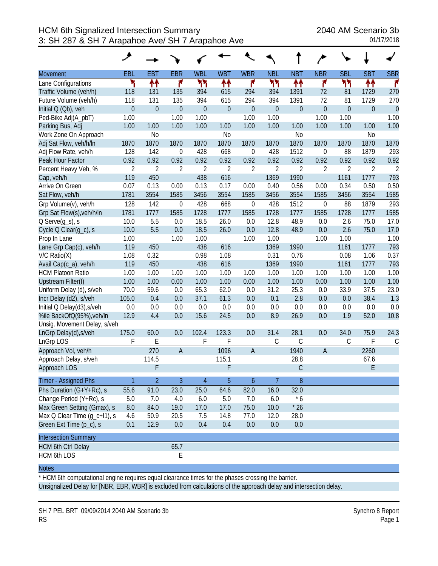|                              | مر               |                  |                  |                  |                  |                  |                  |                  |                  |                  |                |                |
|------------------------------|------------------|------------------|------------------|------------------|------------------|------------------|------------------|------------------|------------------|------------------|----------------|----------------|
| <b>Movement</b>              | EBL              | <b>EBT</b>       | <b>EBR</b>       | <b>WBL</b>       | <b>WBT</b>       | <b>WBR</b>       | <b>NBL</b>       | <b>NBT</b>       | <b>NBR</b>       | <b>SBL</b>       | <b>SBT</b>     | <b>SBR</b>     |
| Lane Configurations          | ۲                | ↟↟               | ۴                | ካካ               | ↟↟               | ۴                | ካነ               | ↟↟               | ۴                | ካካ               | ₩              | r              |
| Traffic Volume (veh/h)       | 118              | 131              | 135              | 394              | 615              | 294              | 394              | 1391             | 72               | 81               | 1729           | 270            |
| Future Volume (veh/h)        | 118              | 131              | 135              | 394              | 615              | 294              | 394              | 1391             | 72               | 81               | 1729           | 270            |
| Initial Q (Qb), veh          | $\boldsymbol{0}$ | $\boldsymbol{0}$ | $\boldsymbol{0}$ | $\boldsymbol{0}$ | $\boldsymbol{0}$ | $\boldsymbol{0}$ | $\boldsymbol{0}$ | $\boldsymbol{0}$ | $\boldsymbol{0}$ | $\boldsymbol{0}$ | $\mathbf 0$    | $\theta$       |
| Ped-Bike Adj(A_pbT)          | 1.00             |                  | 1.00             | 1.00             |                  | 1.00             | 1.00             |                  | 1.00             | 1.00             |                | 1.00           |
| Parking Bus, Adj             | 1.00             | 1.00             | 1.00             | 1.00             | 1.00             | 1.00             | 1.00             | 1.00             | 1.00             | 1.00             | 1.00           | 1.00           |
| Work Zone On Approach        |                  | N <sub>0</sub>   |                  |                  | N <sub>o</sub>   |                  |                  | N <sub>o</sub>   |                  |                  | N <sub>0</sub> |                |
| Adj Sat Flow, veh/h/ln       | 1870             | 1870             | 1870             | 1870             | 1870             | 1870             | 1870             | 1870             | 1870             | 1870             | 1870           | 1870           |
| Adj Flow Rate, veh/h         | 128              | 142              | $\mathbf 0$      | 428              | 668              | $\boldsymbol{0}$ | 428              | 1512             | $\boldsymbol{0}$ | 88               | 1879           | 293            |
| Peak Hour Factor             | 0.92             | 0.92             | 0.92             | 0.92             | 0.92             | 0.92             | 0.92             | 0.92             | 0.92             | 0.92             | 0.92           | 0.92           |
| Percent Heavy Veh, %         | $\overline{2}$   | $\overline{2}$   | $\overline{2}$   | $\overline{2}$   | $\overline{2}$   | $\overline{2}$   | $\overline{2}$   | $\overline{2}$   | $\overline{2}$   | $\overline{2}$   | $\overline{2}$ | $\overline{2}$ |
| Cap, veh/h                   | 119              | 450              |                  | 438              | 616              |                  | 1369             | 1990             |                  | 1161             | 1777           | 793            |
| Arrive On Green              | 0.07             | 0.13             | 0.00             | 0.13             | 0.17             | 0.00             | 0.40             | 0.56             | 0.00             | 0.34             | 0.50           | 0.50           |
| Sat Flow, veh/h              | 1781             | 3554             | 1585             | 3456             | 3554             | 1585             | 3456             | 3554             | 1585             | 3456             | 3554           | 1585           |
| Grp Volume(v), veh/h         | 128              | 142              | 0                | 428              | 668              | $\boldsymbol{0}$ | 428              | 1512             | $\mathbf 0$      | 88               | 1879           | 293            |
| Grp Sat Flow(s), veh/h/ln    | 1781             | 1777             | 1585             | 1728             | 1777             | 1585             | 1728             | 1777             | 1585             | 1728             | 1777           | 1585           |
| $Q$ Serve $(g_s)$ , s        | 10.0             | 5.5              | 0.0              | 18.5             | 26.0             | 0.0              | 12.8             | 48.9             | 0.0              | 2.6              | 75.0           | 17.0           |
| Cycle Q Clear(g_c), s        | 10.0             | 5.5              | 0.0              | 18.5             | 26.0             | 0.0              | 12.8             | 48.9             | 0.0              | 2.6              | 75.0           | 17.0           |
| Prop In Lane                 | 1.00             |                  | 1.00             | 1.00             |                  | 1.00             | 1.00             |                  | 1.00             | 1.00             |                | 1.00           |
| Lane Grp Cap(c), veh/h       | 119              | 450              |                  | 438              | 616              |                  | 1369             | 1990             |                  | 1161             | 1777           | 793            |
| $V/C$ Ratio $(X)$            | 1.08             | 0.32             |                  | 0.98             | 1.08             |                  | 0.31             | 0.76             |                  | 0.08             | 1.06           | 0.37           |
| Avail Cap(c_a), veh/h        | 119              | 450              |                  | 438              | 616              |                  | 1369             | 1990             |                  | 1161             | 1777           | 793            |
| <b>HCM Platoon Ratio</b>     | 1.00             | 1.00             | 1.00             | 1.00             | 1.00             | 1.00             | 1.00             | 1.00             | 1.00             | 1.00             | 1.00           | 1.00           |
| <b>Upstream Filter(I)</b>    | 1.00             | 1.00             | 0.00             | 1.00             | 1.00             | 0.00             | 1.00             | 1.00             | 0.00             | 1.00             | 1.00           | 1.00           |
| Uniform Delay (d), s/veh     | 70.0             | 59.6             | 0.0              | 65.3             | 62.0             | 0.0              | 31.2             | 25.3             | 0.0              | 33.9             | 37.5           | 23.0           |
| Incr Delay (d2), s/veh       | 105.0            | 0.4              | 0.0              | 37.1             | 61.3             | 0.0              | 0.1              | 2.8              | 0.0              | 0.0              | 38.4           | 1.3            |
| Initial Q Delay(d3), s/veh   | 0.0              | 0.0              | 0.0              | 0.0              | 0.0              | 0.0              | 0.0              | 0.0              | 0.0              | 0.0              | 0.0            | 0.0            |
| %ile BackOfQ(95%), veh/ln    | 12.9             | 4.4              | 0.0              | 15.6             | 24.5             | 0.0              | 8.9              | 26.9             | 0.0              | 1.9              | 52.0           | 10.8           |
| Unsig. Movement Delay, s/veh |                  |                  |                  |                  |                  |                  |                  |                  |                  |                  |                |                |
| LnGrp Delay(d), s/veh        | 175.0            | 60.0             | 0.0              | 102.4            | 123.3            | 0.0              | 31.4             | 28.1             | 0.0              | 34.0             | 75.9           | 24.3           |
| LnGrp LOS                    | F                | E                |                  | F                | F                |                  | С                | $\mathsf{C}$     |                  | $\mathsf C$      | F              | $\mathsf{C}$   |
| Approach Vol, veh/h          |                  | 270              | $\overline{A}$   |                  | 1096             | $\overline{A}$   |                  | 1940             | $\sf A$          |                  | 2260           |                |
| Approach Delay, s/veh        |                  | 114.5            |                  |                  | 115.1            |                  |                  | 28.8             |                  |                  | 67.6           |                |
| Approach LOS                 |                  | F                |                  |                  | F                |                  |                  | C                |                  |                  | E              |                |
| Timer - Assigned Phs         | $\mathbf{1}$     | $\overline{2}$   | $\overline{3}$   | $\overline{4}$   | 5                | $\boldsymbol{6}$ | $\overline{7}$   | $\boldsymbol{8}$ |                  |                  |                |                |
| Phs Duration (G+Y+Rc), s     | 55.6             | 91.0             | 23.0             | 25.0             | 64.6             | 82.0             | 16.0             | 32.0             |                  |                  |                |                |
| Change Period (Y+Rc), s      | 5.0              | 7.0              | 4.0              | 6.0              | 5.0              | 7.0              | 6.0              | $*6$             |                  |                  |                |                |
| Max Green Setting (Gmax), s  | 8.0              | 84.0             | 19.0             | 17.0             | 17.0             | 75.0             | 10.0             | $*26$            |                  |                  |                |                |
| Max Q Clear Time (q_c+l1), s | 4.6              | 50.9             | 20.5             | 7.5              | 14.8             | 77.0             | 12.0             | 28.0             |                  |                  |                |                |
| Green Ext Time (p_c), s      | 0.1              | 12.9             | 0.0              | 0.4              | 0.4              | 0.0              | 0.0              | $0.0\,$          |                  |                  |                |                |
| <b>Intersection Summary</b>  |                  |                  |                  |                  |                  |                  |                  |                  |                  |                  |                |                |
| <b>HCM 6th Ctrl Delay</b>    |                  |                  | 65.7             |                  |                  |                  |                  |                  |                  |                  |                |                |
| <b>HCM 6th LOS</b>           |                  |                  | E                |                  |                  |                  |                  |                  |                  |                  |                |                |

\* HCM 6th computational engine requires equal clearance times for the phases crossing the barrier.

Unsignalized Delay for [NBR, EBR, WBR] is excluded from calculations of the approach delay and intersection delay.

SH 7 PEL BRT 09/09/2014 2040 AM Scenario 3b Synchro 8 Report RS Page 1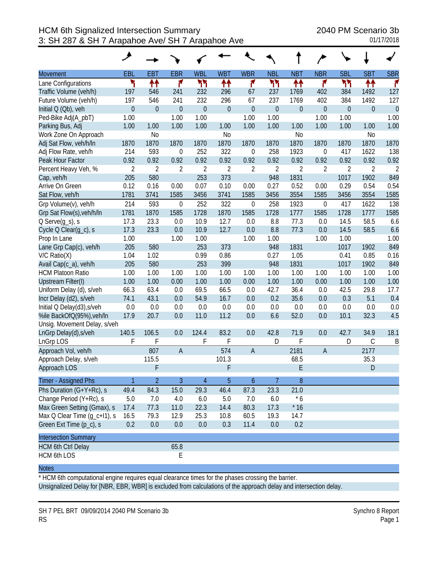|                              | ◢                |                |                |                  |                  |                |                  |                  |                  |                |                |                |
|------------------------------|------------------|----------------|----------------|------------------|------------------|----------------|------------------|------------------|------------------|----------------|----------------|----------------|
| Movement                     | <b>EBL</b>       | <b>EBT</b>     | <b>EBR</b>     | <b>WBL</b>       | <b>WBT</b>       | <b>WBR</b>     | <b>NBL</b>       | <b>NBT</b>       | <b>NBR</b>       | <b>SBL</b>     | <b>SBT</b>     | <b>SBR</b>     |
| Lane Configurations          | ۲                | ↟↟             | ۴              | ካካ               | ↟↟               | ۴              | ካነ               | ↟↟               | ۴                | ካካ             | ↟↟             | r              |
| Traffic Volume (veh/h)       | 197              | 546            | 241            | 232              | 296              | 67             | 237              | 1769             | 402              | 384            | 1492           | 127            |
| Future Volume (veh/h)        | 197              | 546            | 241            | 232              | 296              | 67             | 237              | 1769             | 402              | 384            | 1492           | 127            |
| Initial Q (Qb), veh          | $\boldsymbol{0}$ | $\mathbf 0$    | $\overline{0}$ | $\boldsymbol{0}$ | $\boldsymbol{0}$ | $\mathbf 0$    | $\boldsymbol{0}$ | $\boldsymbol{0}$ | $\boldsymbol{0}$ | $\mathbf 0$    | $\mathbf 0$    | $\mathbf 0$    |
| Ped-Bike Adj(A_pbT)          | 1.00             |                | 1.00           | 1.00             |                  | 1.00           | 1.00             |                  | 1.00             | 1.00           |                | 1.00           |
| Parking Bus, Adj             | 1.00             | 1.00           | 1.00           | 1.00             | 1.00             | 1.00           | 1.00             | 1.00             | 1.00             | 1.00           | 1.00           | 1.00           |
| Work Zone On Approach        |                  | N <sub>o</sub> |                |                  | N <sub>o</sub>   |                |                  | N <sub>0</sub>   |                  |                | N <sub>0</sub> |                |
| Adj Sat Flow, veh/h/ln       | 1870             | 1870           | 1870           | 1870             | 1870             | 1870           | 1870             | 1870             | 1870             | 1870           | 1870           | 1870           |
| Adj Flow Rate, veh/h         | 214              | 593            | $\mathbf 0$    | 252              | 322              | $\mathbf 0$    | 258              | 1923             | $\boldsymbol{0}$ | 417            | 1622           | 138            |
| Peak Hour Factor             | 0.92             | 0.92           | 0.92           | 0.92             | 0.92             | 0.92           | 0.92             | 0.92             | 0.92             | 0.92           | 0.92           | 0.92           |
| Percent Heavy Veh, %         | $\overline{2}$   | $\overline{2}$ | $\overline{2}$ | $\overline{2}$   | $\overline{2}$   | $\overline{2}$ | $\overline{2}$   | $\overline{2}$   | $\overline{2}$   | $\overline{2}$ | 2              | $\overline{2}$ |
| Cap, veh/h                   | 205              | 580            |                | 253              | 373              |                | 948              | 1831             |                  | 1017           | 1902           | 849            |
| Arrive On Green              | 0.12             | 0.16           | 0.00           | 0.07             | 0.10             | 0.00           | 0.27             | 0.52             | 0.00             | 0.29           | 0.54           | 0.54           |
| Sat Flow, veh/h              | 1781             | 3741           | 1585           | 3456             | 3741             | 1585           | 3456             | 3554             | 1585             | 3456           | 3554           | 1585           |
| Grp Volume(v), veh/h         | 214              | 593            | $\mathbf 0$    | 252              | 322              | $\mathbf 0$    | 258              | 1923             | $\boldsymbol{0}$ | 417            | 1622           | 138            |
| Grp Sat Flow(s), veh/h/ln    | 1781             | 1870           | 1585           | 1728             | 1870             | 1585           | 1728             | 1777             | 1585             | 1728           | 1777           | 1585           |
| $Q$ Serve $(g_s)$ , s        | 17.3             | 23.3           | 0.0            | 10.9             | 12.7             | 0.0            | 8.8              | 77.3             | 0.0              | 14.5           | 58.5           | 6.6            |
| Cycle Q Clear(g_c), s        | 17.3             | 23.3           | 0.0            | 10.9             | 12.7             | 0.0            | 8.8              | 77.3             | 0.0              | 14.5           | 58.5           | 6.6            |
| Prop In Lane                 | 1.00             |                | 1.00           | 1.00             |                  | 1.00           | 1.00             |                  | 1.00             | 1.00           |                | 1.00           |
| Lane Grp Cap(c), veh/h       | 205              | 580            |                | 253              | 373              |                | 948              | 1831             |                  | 1017           | 1902           | 849            |
| $V/C$ Ratio $(X)$            | 1.04             | 1.02           |                | 0.99             | 0.86             |                | 0.27             | 1.05             |                  | 0.41           | 0.85           | 0.16           |
| Avail Cap(c_a), veh/h        | 205              | 580            |                | 253              | 399              |                | 948              | 1831             |                  | 1017           | 1902           | 849            |
| <b>HCM Platoon Ratio</b>     | 1.00             | 1.00           | 1.00           | 1.00             | 1.00             | 1.00           | 1.00             | 1.00             | 1.00             | 1.00           | 1.00           | 1.00           |
| <b>Upstream Filter(I)</b>    | 1.00             | 1.00           | 0.00           | 1.00             | 1.00             | 0.00           | 1.00             | 1.00             | 0.00             | 1.00           | 1.00           | 1.00           |
| Uniform Delay (d), s/veh     | 66.3             | 63.4           | 0.0            | 69.5             | 66.5             | 0.0            | 42.7             | 36.4             | 0.0              | 42.5           | 29.8           | 17.7           |
| Incr Delay (d2), s/veh       | 74.1             | 43.1           | 0.0            | 54.9             | 16.7             | 0.0            | 0.2              | 35.6             | 0.0              | 0.3            | 5.1            | 0.4            |
| Initial Q Delay(d3), s/veh   | 0.0              | 0.0            | 0.0            | 0.0              | 0.0              | 0.0            | 0.0              | 0.0              | 0.0              | 0.0            | 0.0            | 0.0            |
| %ile BackOfQ(95%), veh/In    | 17.9             | 20.7           | 0.0            | 11.0             | 11.2             | 0.0            | 6.6              | 52.0             | 0.0              | 10.1           | 32.3           | 4.5            |
| Unsig. Movement Delay, s/veh |                  |                |                |                  |                  |                |                  |                  |                  |                |                |                |
| LnGrp Delay(d), s/veh        | 140.5            | 106.5          | 0.0            | 124.4            | 83.2             | 0.0            | 42.8             | 71.9             | 0.0              | 42.7           | 34.9           | 18.1           |
| LnGrp LOS                    | F                | F              |                | F                | F                |                | D                | F                |                  | D              | $\mathsf C$    | B              |
| Approach Vol, veh/h          |                  | 807            | $\overline{A}$ |                  | 574              | $\overline{A}$ |                  | 2181             | $\overline{A}$   |                | 2177           |                |
| Approach Delay, s/veh        |                  | 115.5          |                |                  | 101.3            |                |                  | 68.5             |                  |                | 35.3           |                |
| Approach LOS                 |                  | F              |                |                  | F                |                |                  | E                |                  |                | D              |                |
| Timer - Assigned Phs         | $\mathbf{1}$     | $\overline{2}$ | 3              | $\overline{4}$   | 5                | 6              | 7                | 8                |                  |                |                |                |
| Phs Duration (G+Y+Rc), s     | 49.4             | 84.3           | 15.0           | 29.3             | 46.4             | 87.3           | 23.3             | 21.0             |                  |                |                |                |
| Change Period (Y+Rc), s      | $5.0\,$          | 7.0            | 4.0            | 6.0              | $5.0\,$          | 7.0            | 6.0              | $*6$             |                  |                |                |                |
| Max Green Setting (Gmax), s  | 17.4             | 77.3           | 11.0           | 22.3             | 14.4             | 80.3           | 17.3             | $*16$            |                  |                |                |                |
| Max Q Clear Time (g_c+l1), s | 16.5             | 79.3           | 12.9           | 25.3             | 10.8             | 60.5           | 19.3             | 14.7             |                  |                |                |                |
| Green Ext Time (p_c), s      | 0.2              | 0.0            | 0.0            | 0.0              | 0.3              | 11.4           | 0.0              | 0.2              |                  |                |                |                |
| <b>Intersection Summary</b>  |                  |                |                |                  |                  |                |                  |                  |                  |                |                |                |
| <b>HCM 6th Ctrl Delay</b>    |                  |                | 65.8           |                  |                  |                |                  |                  |                  |                |                |                |
| <b>HCM 6th LOS</b>           |                  |                | E              |                  |                  |                |                  |                  |                  |                |                |                |

\* HCM 6th computational engine requires equal clearance times for the phases crossing the barrier. Unsignalized Delay for [NBR, EBR, WBR] is excluded from calculations of the approach delay and intersection delay.

SH 7 PEL BRT 09/09/2014 2040 PM Scenario 3b Synchro 8 Report RS Page 1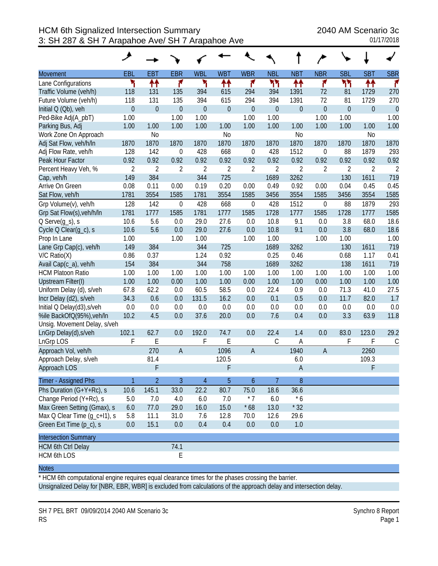|                              | ◢                |                  |                  |                  |                  |                  |                  |                |                  |                  |                  |                |
|------------------------------|------------------|------------------|------------------|------------------|------------------|------------------|------------------|----------------|------------------|------------------|------------------|----------------|
| Movement                     | <b>EBL</b>       | <b>EBT</b>       | <b>EBR</b>       | <b>WBL</b>       | <b>WBT</b>       | <b>WBR</b>       | <b>NBL</b>       | <b>NBT</b>     | <b>NBR</b>       | <b>SBL</b>       | <b>SBT</b>       | <b>SBR</b>     |
| Lane Configurations          | ۲                | ↟↟               | ۴                | ۲                | ↟↟               | ۴                | ካነ               | ↟↟             | ۴                | ካካ               | ↟↟               | f.             |
| Traffic Volume (veh/h)       | 118              | 131              | 135              | 394              | 615              | 294              | 394              | 1391           | 72               | 81               | 1729             | 270            |
| Future Volume (veh/h)        | 118              | 131              | 135              | 394              | 615              | 294              | 394              | 1391           | 72               | 81               | 1729             | 270            |
| Initial Q (Qb), veh          | $\boldsymbol{0}$ | $\boldsymbol{0}$ | $\boldsymbol{0}$ | $\boldsymbol{0}$ | $\boldsymbol{0}$ | $\mathbf 0$      | $\boldsymbol{0}$ | $\overline{0}$ | $\boldsymbol{0}$ | $\boldsymbol{0}$ | $\boldsymbol{0}$ | $\theta$       |
| Ped-Bike Adj(A_pbT)          | 1.00             |                  | 1.00             | 1.00             |                  | 1.00             | 1.00             |                | 1.00             | 1.00             |                  | 1.00           |
| Parking Bus, Adj             | 1.00             | 1.00             | 1.00             | 1.00             | 1.00             | 1.00             | 1.00             | 1.00           | 1.00             | 1.00             | 1.00             | 1.00           |
| Work Zone On Approach        |                  | N <sub>0</sub>   |                  |                  | N <sub>o</sub>   |                  |                  | N <sub>0</sub> |                  |                  | N <sub>0</sub>   |                |
| Adj Sat Flow, veh/h/ln       | 1870             | 1870             | 1870             | 1870             | 1870             | 1870             | 1870             | 1870           | 1870             | 1870             | 1870             | 1870           |
| Adj Flow Rate, veh/h         | 128              | 142              | $\boldsymbol{0}$ | 428              | 668              | $\mathbf 0$      | 428              | 1512           | $\mathbf 0$      | 88               | 1879             | 293            |
| Peak Hour Factor             | 0.92             | 0.92             | 0.92             | 0.92             | 0.92             | 0.92             | 0.92             | 0.92           | 0.92             | 0.92             | 0.92             | 0.92           |
| Percent Heavy Veh, %         | $\overline{2}$   | $\overline{2}$   | $\overline{2}$   | $\overline{2}$   | $\overline{2}$   | $\overline{2}$   | $\overline{2}$   | $\overline{2}$ | $\overline{2}$   | $\overline{2}$   | $\overline{2}$   | $\overline{2}$ |
| Cap, veh/h                   | 149              | 384              |                  | 344              | 725              |                  | 1689             | 3262           |                  | 130              | 1611             | 719            |
| Arrive On Green              | 0.08             | 0.11             | 0.00             | 0.19             | 0.20             | 0.00             | 0.49             | 0.92           | 0.00             | 0.04             | 0.45             | 0.45           |
| Sat Flow, veh/h              | 1781             | 3554             | 1585             | 1781             | 3554             | 1585             | 3456             | 3554           | 1585             | 3456             | 3554             | 1585           |
| Grp Volume(v), veh/h         | 128              | 142              | $\mathbf 0$      | 428              | 668              | $\mathbf 0$      | 428              | 1512           | $\mathbf 0$      | 88               | 1879             | 293            |
| Grp Sat Flow(s), veh/h/ln    | 1781             | 1777             | 1585             | 1781             | 1777             | 1585             | 1728             | 1777           | 1585             | 1728             | 1777             | 1585           |
| $Q$ Serve $(g_s)$ , s        | 10.6             | 5.6              | 0.0              | 29.0             | 27.6             | 0.0              | 10.8             | 9.1            | 0.0              | 3.8              | 68.0             | 18.6           |
| Cycle Q Clear(g_c), s        | 10.6             | 5.6              | 0.0              | 29.0             | 27.6             | 0.0              | 10.8             | 9.1            | 0.0              | 3.8              | 68.0             | 18.6           |
| Prop In Lane                 | 1.00             |                  | 1.00             | 1.00             |                  | 1.00             | 1.00             |                | 1.00             | 1.00             |                  | 1.00           |
| Lane Grp Cap(c), veh/h       | 149              | 384              |                  | 344              | 725              |                  | 1689             | 3262           |                  | 130              | 1611             | 719            |
| $V/C$ Ratio $(X)$            | 0.86             | 0.37             |                  | 1.24             | 0.92             |                  | 0.25             | 0.46           |                  | 0.68             | 1.17             | 0.41           |
| Avail Cap(c_a), veh/h        | 154              | 384              |                  | 344              | 758              |                  | 1689             | 3262           |                  | 138              | 1611             | 719            |
| <b>HCM Platoon Ratio</b>     | 1.00             | 1.00             | 1.00             | 1.00             | 1.00             | 1.00             | 1.00             | 1.00           | 1.00             | 1.00             | 1.00             | 1.00           |
| <b>Upstream Filter(I)</b>    | 1.00             | 1.00             | 0.00             | 1.00             | 1.00             | 0.00             | 1.00             | 1.00           | 0.00             | 1.00             | 1.00             | 1.00           |
| Uniform Delay (d), s/veh     | 67.8             | 62.2             | 0.0              | 60.5             | 58.5             | 0.0              | 22.4             | 0.9            | 0.0              | 71.3             | 41.0             | 27.5           |
| Incr Delay (d2), s/veh       | 34.3             | 0.6              | 0.0              | 131.5            | 16.2             | 0.0              | 0.1              | 0.5            | 0.0              | 11.7             | 82.0             | 1.7            |
| Initial Q Delay(d3), s/veh   | 0.0              | 0.0              | 0.0              | 0.0              | 0.0              | 0.0              | 0.0              | 0.0            | 0.0              | 0.0              | 0.0              | 0.0            |
| %ile BackOfQ(95%), veh/In    | 10.2             | 4.5              | 0.0              | 37.6             | 20.0             | 0.0              | 7.6              | 0.4            | 0.0              | 3.3              | 63.9             | 11.8           |
| Unsig. Movement Delay, s/veh |                  |                  |                  |                  |                  |                  |                  |                |                  |                  |                  |                |
| LnGrp Delay(d), s/veh        | 102.1            | 62.7             | 0.0              | 192.0            | 74.7             | 0.0              | 22.4             | 1.4            | 0.0              | 83.0             | 123.0            | 29.2           |
| LnGrp LOS                    | F                | E                |                  | F                | E                |                  | $\mathsf C$      | Α              |                  | F                | F                | $\mathsf C$    |
| Approach Vol, veh/h          |                  | 270              | $\overline{A}$   |                  | 1096             | $\overline{A}$   |                  | 1940           | $\overline{A}$   |                  | 2260             |                |
| Approach Delay, s/veh        |                  | 81.4             |                  |                  | 120.5            |                  |                  | 6.0            |                  |                  | 109.3            |                |
| Approach LOS                 |                  | F                |                  |                  | F                |                  |                  | $\mathsf{A}$   |                  |                  | F                |                |
| Timer - Assigned Phs         | $\mathbf{1}$     | $\overline{2}$   | 3                | $\overline{4}$   | 5                | $\boldsymbol{6}$ | 7                | 8              |                  |                  |                  |                |
| Phs Duration (G+Y+Rc), s     | 10.6             | 145.1            | 33.0             | 22.2             | 80.7             | 75.0             | 18.6             | 36.6           |                  |                  |                  |                |
| Change Period (Y+Rc), s      | 5.0              | 7.0              | 4.0              | 6.0              | 7.0              | $*7$             | 6.0              | $*6$           |                  |                  |                  |                |
| Max Green Setting (Gmax), s  | 6.0              | 77.0             | 29.0             | 16.0             | 15.0             | $*68$            | 13.0             | $*32$          |                  |                  |                  |                |
| Max Q Clear Time (g_c+l1), s | 5.8              | 11.1             | 31.0             | 7.6              | 12.8             | 70.0             | 12.6             | 29.6           |                  |                  |                  |                |
| Green Ext Time (p_c), s      | 0.0              | 15.1             | 0.0              | 0.4              | 0.4              | 0.0              | 0.0              | 1.0            |                  |                  |                  |                |
| <b>Intersection Summary</b>  |                  |                  |                  |                  |                  |                  |                  |                |                  |                  |                  |                |
| <b>HCM 6th Ctrl Delay</b>    |                  |                  | 74.1             |                  |                  |                  |                  |                |                  |                  |                  |                |
| <b>HCM 6th LOS</b>           |                  |                  | E                |                  |                  |                  |                  |                |                  |                  |                  |                |

\* HCM 6th computational engine requires equal clearance times for the phases crossing the barrier. Unsignalized Delay for [NBR, EBR, WBR] is excluded from calculations of the approach delay and intersection delay.

SH 7 PEL BRT 09/09/2014 2040 AM Scenario 3c Synchro 8 Report RS Page 1